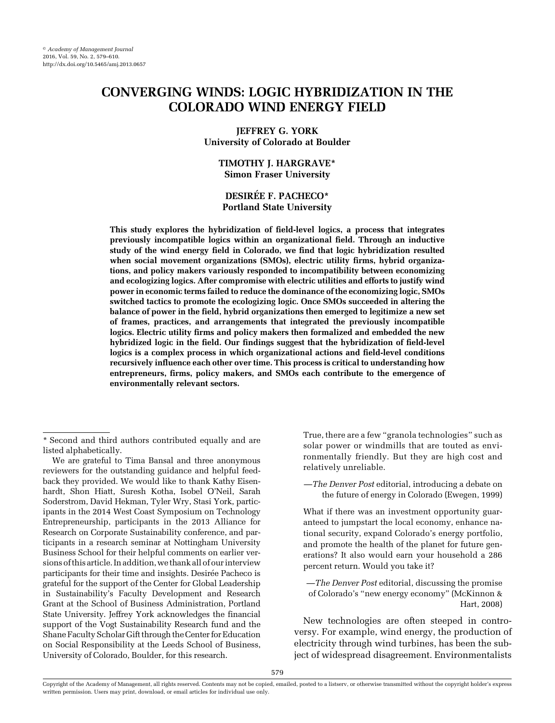# CONVERGING WINDS: LOGIC HYBRIDIZATION IN THE COLORADO WIND ENERGY FIELD

JEFFREY G. YORK University of Colorado at Boulder

> TIMOTHY J. HARGRAVE\* Simon Fraser University

# DESIRÉE F. PACHECO\* Portland State University

This study explores the hybridization of field-level logics, a process that integrates previously incompatible logics within an organizational field. Through an inductive study of the wind energy field in Colorado, we find that logic hybridization resulted when social movement organizations (SMOs), electric utility firms, hybrid organizations, and policy makers variously responded to incompatibility between economizing and ecologizing logics. After compromise with electric utilities and efforts to justify wind power in economic terms failed to reduce the dominance of the economizing logic, SMOs switched tactics to promote the ecologizing logic. Once SMOs succeeded in altering the balance of power in the field, hybrid organizations then emerged to legitimize a new set of frames, practices, and arrangements that integrated the previously incompatible logics. Electric utility firms and policy makers then formalized and embedded the new hybridized logic in the field. Our findings suggest that the hybridization of field-level logics is a complex process in which organizational actions and field-level conditions recursively influence each other over time. This process is critical to understanding how entrepreneurs, firms, policy makers, and SMOs each contribute to the emergence of environmentally relevant sectors.

True, there are a few "granola technologies" such as solar power or windmills that are touted as environmentally friendly. But they are high cost and relatively unreliable.

—The Denver Post editorial, introducing a debate on the future of energy in Colorado [\(Ewegen, 1999](#page-26-0))

What if there was an investment opportunity guaranteed to jumpstart the local economy, enhance national security, expand Colorado's energy portfolio, and promote the health of the planet for future generations? It also would earn your household a 286 percent return. Would you take it?

—The Denver Post editorial, discussing the promise of Colorado's "new energy economy" [\(McKinnon &](#page-28-0) [Hart, 2008](#page-28-0))

New technologies are often steeped in controversy. For example, wind energy, the production of electricity through wind turbines, has been the subject of widespread disagreement. Environmentalists

<sup>\*</sup> Second and third authors contributed equally and are listed alphabetically.

We are grateful to Tima Bansal and three anonymous reviewers for the outstanding guidance and helpful feedback they provided. We would like to thank Kathy Eisenhardt, Shon Hiatt, Suresh Kotha, Isobel O'Neil, Sarah Soderstrom, David Hekman, Tyler Wry, Stasi York, participants in the 2014 West Coast Symposium on Technology Entrepreneurship, participants in the 2013 Alliance for Research on Corporate Sustainability conference, and participants in a research seminar at Nottingham University Business School for their helpful comments on earlier versions of this article. In addition, we thank all of our interview participants for their time and insights. Desirée Pacheco is grateful for the support of the Center for Global Leadership in Sustainability's Faculty Development and Research Grant at the School of Business Administration, Portland State University. Jeffrey York acknowledges the financial support of the Vogt Sustainability Research fund and the Shane Faculty Scholar Gift through the Center for Education on Social Responsibility at the Leeds School of Business, University of Colorado, Boulder, for this research.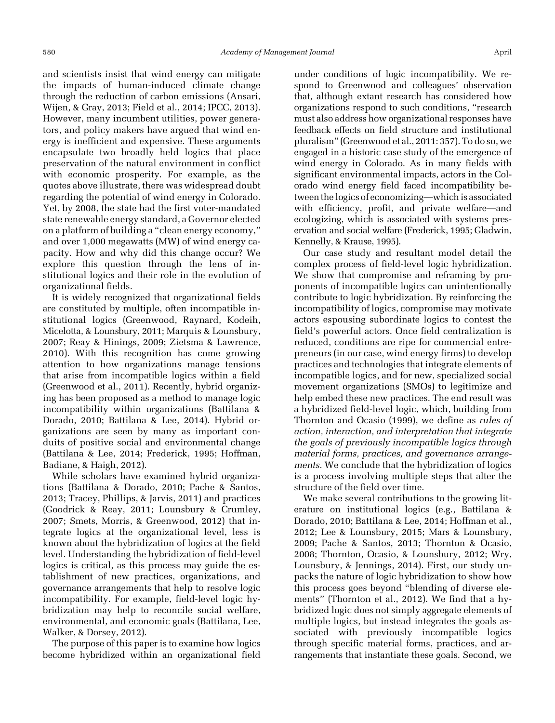and scientists insist that wind energy can mitigate the impacts of human-induced climate change through the reduction of carbon emissions [\(Ansari,](#page-25-0) [Wijen, & Gray, 2013;](#page-25-0) [Field et al., 2014](#page-26-0); [IPCC, 2013](#page-27-0)). However, many incumbent utilities, power generators, and policy makers have argued that wind energy is inefficient and expensive. These arguments encapsulate two broadly held logics that place preservation of the natural environment in conflict with economic prosperity. For example, as the quotes above illustrate, there was widespread doubt regarding the potential of wind energy in Colorado. Yet, by 2008, the state had the first voter-mandated state renewable energy standard, a Governor elected on a platform of building a "clean energy economy," and over 1,000 megawatts (MW) of wind energy capacity. How and why did this change occur? We explore this question through the lens of institutional logics and their role in the evolution of organizational fields.

It is widely recognized that organizational fields are constituted by multiple, often incompatible institutional logics ([Greenwood, Raynard, Kodeih,](#page-27-0) [Micelotta, & Lounsbury, 2011](#page-27-0); [Marquis & Lounsbury,](#page-28-0) [2007; Reay & Hinings, 2009](#page-28-0); [Zietsma & Lawrence,](#page-30-0) [2010\)](#page-30-0). With this recognition has come growing attention to how organizations manage tensions that arise from incompatible logics within a field [\(Greenwood et al., 2011\)](#page-27-0). Recently, hybrid organizing has been proposed as a method to manage logic incompatibility within organizations [\(Battilana &](#page-25-0) [Dorado, 2010; Battilana & Lee, 2014\)](#page-25-0). Hybrid organizations are seen by many as important conduits of positive social and environmental change [\(Battilana & Lee, 2014](#page-25-0); [Frederick, 1995;](#page-26-0) [Hoffman,](#page-27-0) [Badiane, & Haigh, 2012](#page-27-0)).

While scholars have examined hybrid organizations [\(Battilana & Dorado, 2010;](#page-25-0) [Pache & Santos,](#page-28-0) [2013;](#page-28-0) [Tracey, Phillips, & Jarvis, 2011\)](#page-29-0) and practices [\(Goodrick & Reay, 2011;](#page-26-0) [Lounsbury & Crumley,](#page-27-0) [2007;](#page-27-0) [Smets, Morris, & Greenwood, 2012\)](#page-29-0) that integrate logics at the organizational level, less is known about the hybridization of logics at the field level. Understanding the hybridization of field-level logics is critical, as this process may guide the establishment of new practices, organizations, and governance arrangements that help to resolve logic incompatibility. For example, field-level logic hybridization may help to reconcile social welfare, environmental, and economic goals [\(Battilana, Lee,](#page-25-0) [Walker, & Dorsey, 2012](#page-25-0)).

The purpose of this paper is to examine how logics become hybridized within an organizational field under conditions of logic incompatibility. We respond to Greenwood and colleagues' observation that, although extant research has considered how organizations respond to such conditions, "research must also address how organizational responses have feedback effects on field structure and institutional pluralism" [\(Greenwood et al., 2011:](#page-27-0) 357). To do so, we engaged in a historic case study of the emergence of wind energy in Colorado. As in many fields with significant environmental impacts, actors in the Colorado wind energy field faced incompatibility between the logics of economizing—which is associated with efficiency, profit, and private welfare—and ecologizing, which is associated with systems preservation and social welfare [\(Frederick, 1995](#page-26-0); [Gladwin,](#page-26-0) [Kennelly, & Krause, 1995\)](#page-26-0).

Our case study and resultant model detail the complex process of field-level logic hybridization. We show that compromise and reframing by proponents of incompatible logics can unintentionally contribute to logic hybridization. By reinforcing the incompatibility of logics, compromise may motivate actors espousing subordinate logics to contest the field's powerful actors. Once field centralization is reduced, conditions are ripe for commercial entrepreneurs (in our case, wind energy firms) to develop practices and technologies that integrate elements of incompatible logics, and for new, specialized social movement organizations (SMOs) to legitimize and help embed these new practices. The end result was a hybridized field-level logic, which, building from [Thornton and Ocasio \(1999\)](#page-29-0), we define as rules of action, interaction, and interpretation that integrate the goals of previously incompatible logics through material forms, practices, and governance arrangements. We conclude that the hybridization of logics is a process involving multiple steps that alter the structure of the field over time.

We make several contributions to the growing literature on institutional logics (e.g., [Battilana &](#page-25-0) [Dorado, 2010](#page-25-0); [Battilana & Lee, 2014](#page-25-0); [Hoffman et al.,](#page-27-0) [2012; Lee & Lounsbury, 2015](#page-27-0); [Mars & Lounsbury,](#page-28-0) [2009; Pache & Santos, 2013;](#page-28-0) [Thornton & Ocasio,](#page-29-0) [2008; Thornton, Ocasio, & Lounsbury, 2012](#page-29-0); [Wry,](#page-30-0) [Lounsbury, & Jennings, 2014\)](#page-30-0). First, our study unpacks the nature of logic hybridization to show how this process goes beyond "blending of diverse elements" [\(Thornton et al., 2012](#page-29-0)). We find that a hybridized logic does not simply aggregate elements of multiple logics, but instead integrates the goals associated with previously incompatible logics through specific material forms, practices, and arrangements that instantiate these goals. Second, we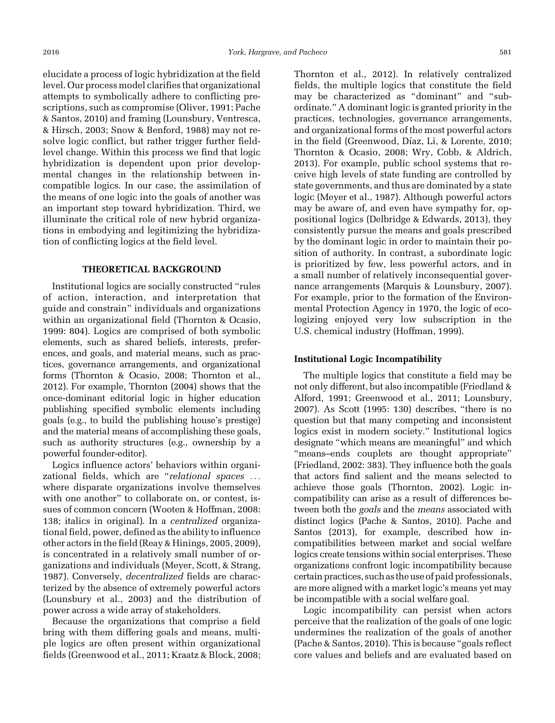elucidate a process of logic hybridization at the field level. Our process model clarifies that organizational attempts to symbolically adhere to conflicting prescriptions, such as compromise ([Oliver, 1991](#page-28-0); [Pache](#page-28-0) [& Santos, 2010](#page-28-0)) and framing ([Lounsbury, Ventresca,](#page-27-0) [& Hirsch, 2003](#page-27-0); [Snow & Benford, 1988\)](#page-29-0) may not resolve logic conflict, but rather trigger further fieldlevel change. Within this process we find that logic hybridization is dependent upon prior developmental changes in the relationship between incompatible logics. In our case, the assimilation of the means of one logic into the goals of another was an important step toward hybridization. Third, we illuminate the critical role of new hybrid organizations in embodying and legitimizing the hybridization of conflicting logics at the field level.

### THEORETICAL BACKGROUND

Institutional logics are socially constructed "rules of action, interaction, and interpretation that guide and constrain" individuals and organizations within an organizational field [\(Thornton & Ocasio,](#page-29-0) [1999:](#page-29-0) 804). Logics are comprised of both symbolic elements, such as shared beliefs, interests, preferences, and goals, and material means, such as practices, governance arrangements, and organizational forms [\(Thornton & Ocasio, 2008; Thornton et al.,](#page-29-0) [2012](#page-29-0)). For example, [Thornton \(2004\)](#page-29-0) shows that the once-dominant editorial logic in higher education publishing specified symbolic elements including goals (e.g., to build the publishing house's prestige) and the material means of accomplishing these goals, such as authority structures (e.g., ownership by a powerful founder-editor).

Logics influence actors' behaviors within organizational fields, which are "relational spaces ... where disparate organizations involve themselves with one another" to collaborate on, or contest, issues of common concern [\(Wooten & Hoffman, 2008](#page-30-0): 138; italics in original). In a centralized organizational field, power, defined as the ability to influence other actors in the field [\(Reay & Hinings, 2005, 2009](#page-28-0)), is concentrated in a relatively small number of organizations and individuals ([Meyer, Scott, & Strang,](#page-28-0) [1987\)](#page-28-0). Conversely, decentralized fields are characterized by the absence of extremely powerful actors [\(Lounsbury et al., 2003](#page-27-0)) and the distribution of power across a wide array of stakeholders.

Because the organizations that comprise a field bring with them differing goals and means, multiple logics are often present within organizational fields [\(Greenwood et al., 2011; Kraatz & Block, 2008](#page-27-0); [Thornton et al., 2012\)](#page-29-0). In relatively centralized fields, the multiple logics that constitute the field may be characterized as "dominant" and "subordinate." A dominant logic is granted priority in the practices, technologies, governance arrangements, and organizational forms of the most powerful actors in the field [\(Greenwood, D](#page-26-0)í[az, Li, & Lorente, 2010](#page-26-0); [Thornton & Ocasio, 2008](#page-29-0); [Wry, Cobb, & Aldrich,](#page-30-0) [2013\)](#page-30-0). For example, public school systems that receive high levels of state funding are controlled by state governments, and thus are dominated by a state logic ([Meyer et al., 1987](#page-28-0)). Although powerful actors may be aware of, and even have sympathy for, oppositional logics ([Delbridge & Edwards, 2013](#page-26-0)), they consistently pursue the means and goals prescribed by the dominant logic in order to maintain their position of authority. In contrast, a subordinate logic is prioritized by few, less powerful actors, and in a small number of relatively inconsequential governance arrangements ([Marquis & Lounsbury, 2007](#page-28-0)). For example, prior to the formation of the Environmental Protection Agency in 1970, the logic of ecologizing enjoyed very low subscription in the U.S. chemical industry [\(Hoffman, 1999](#page-27-0)).

### Institutional Logic Incompatibility

The multiple logics that constitute a field may be not only different, but also incompatible [\(Friedland &](#page-26-0) [Alford, 1991;](#page-26-0) [Greenwood et al., 2011; Lounsbury,](#page-27-0) [2007](#page-27-0)). As [Scott \(1995](#page-29-0): 130) describes, "there is no question but that many competing and inconsistent logics exist in modern society." Institutional logics designate "which means are meaningful" and which "means–ends couplets are thought appropriate" [\(Friedland, 2002](#page-26-0): 383). They influence both the goals that actors find salient and the means selected to achieve those goals [\(Thornton, 2002\)](#page-29-0). Logic incompatibility can arise as a result of differences between both the *goals* and the *means* associated with distinct logics [\(Pache & Santos, 2010](#page-28-0)). [Pache and](#page-28-0) [Santos \(2013\),](#page-28-0) for example, described how incompatibilities between market and social welfare logics create tensions within social enterprises. These organizations confront logic incompatibility because certain practices, such as the use of paid professionals, are more aligned with a market logic's means yet may be incompatible with a social welfare goal.

Logic incompatibility can persist when actors perceive that the realization of the goals of one logic undermines the realization of the goals of another [\(Pache & Santos, 2010](#page-28-0)). This is because "goals reflect core values and beliefs and are evaluated based on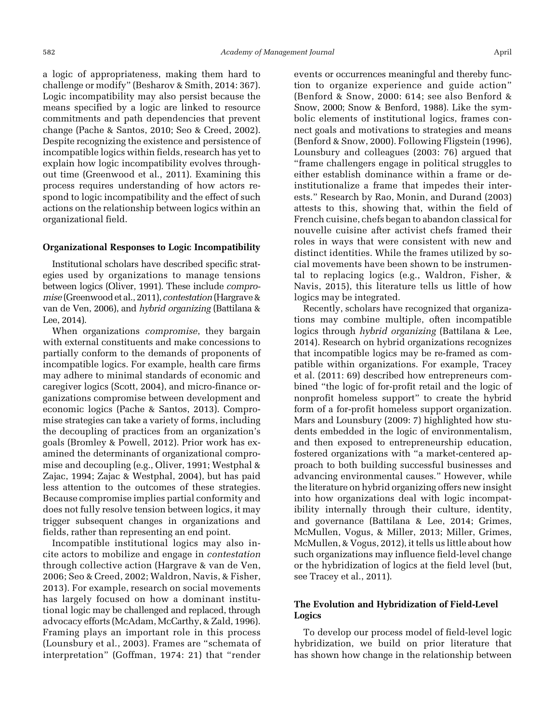a logic of appropriateness, making them hard to challenge or modify" [\(Besharov & Smith, 2014:](#page-25-0) 367). Logic incompatibility may also persist because the means specified by a logic are linked to resource commitments and path dependencies that prevent change [\(Pache & Santos, 2010;](#page-28-0) [Seo & Creed, 2002](#page-29-0)). Despite recognizing the existence and persistence of incompatible logics within fields, research has yet to explain how logic incompatibility evolves throughout time ([Greenwood et al., 2011\)](#page-27-0). Examining this process requires understanding of how actors respond to logic incompatibility and the effect of such actions on the relationship between logics within an organizational field.

### Organizational Responses to Logic Incompatibility

Institutional scholars have described specific strategies used by organizations to manage tensions between logics [\(Oliver, 1991\)](#page-28-0). These include compromise [\(Greenwood et al., 2011](#page-27-0)), contestation[\(Hargrave &](#page-27-0) [van de Ven, 2006\)](#page-27-0), and hybrid organizing [\(Battilana &](#page-25-0) [Lee, 2014](#page-25-0)).

When organizations *compromise*, they bargain with external constituents and make concessions to partially conform to the demands of proponents of incompatible logics. For example, health care firms may adhere to minimal standards of economic and caregiver logics [\(Scott, 2004](#page-29-0)), and micro-finance organizations compromise between development and economic logics ([Pache & Santos, 2013](#page-28-0)). Compromise strategies can take a variety of forms, including the decoupling of practices from an organization's goals [\(Bromley & Powell, 2012\)](#page-26-0). Prior work has examined the determinants of organizational compromise and decoupling (e.g., [Oliver, 1991](#page-28-0); [Westphal &](#page-30-0) [Zajac, 1994](#page-30-0); [Zajac & Westphal, 2004\)](#page-30-0), but has paid less attention to the outcomes of these strategies. Because compromise implies partial conformity and does not fully resolve tension between logics, it may trigger subsequent changes in organizations and fields, rather than representing an end point.

Incompatible institutional logics may also incite actors to mobilize and engage in contestation through collective action ([Hargrave & van de Ven,](#page-27-0) [2006;](#page-27-0) [Seo & Creed, 2002](#page-29-0); [Waldron, Navis, & Fisher,](#page-29-0) [2013\)](#page-29-0). For example, research on social movements has largely focused on how a dominant institutional logic may be challenged and replaced, through advocacy efforts ([McAdam, McCarthy, & Zald, 1996](#page-28-0)). Framing plays an important role in this process [\(Lounsbury et al., 2003](#page-27-0)). Frames are "schemata of interpretation" ([Goffman, 1974](#page-26-0): 21) that "render

events or occurrences meaningful and thereby function to organize experience and guide action" [\(Benford & Snow, 2000](#page-25-0): 614; see also [Benford &](#page-25-0) [Snow, 2000](#page-25-0); [Snow & Benford, 1988\)](#page-29-0). Like the symbolic elements of institutional logics, frames connect goals and motivations to strategies and means [\(Benford & Snow, 2000](#page-25-0)). Following [Fligstein \(1996\)](#page-26-0), Lounsbury and colleagues (2003: 76) argued that "frame challengers engage in political struggles to either establish dominance within a frame or deinstitutionalize a frame that impedes their interests." Research by [Rao, Monin, and Durand \(2003\)](#page-28-0) attests to this, showing that, within the field of French cuisine, chefs began to abandon classical for nouvelle cuisine after activist chefs framed their roles in ways that were consistent with new and distinct identities. While the frames utilized by social movements have been shown to be instrumental to replacing logics (e.g., [Waldron, Fisher, &](#page-29-0) [Navis, 2015\)](#page-29-0), this literature tells us little of how logics may be integrated.

Recently, scholars have recognized that organizations may combine multiple, often incompatible logics through hybrid organizing [\(Battilana & Lee,](#page-25-0) [2014\)](#page-25-0). Research on hybrid organizations recognizes that incompatible logics may be re-framed as compatible within organizations. For example, [Tracey](#page-29-0) [et al. \(2011:](#page-29-0) 69) described how entrepreneurs combined "the logic of for-profit retail and the logic of nonprofit homeless support" to create the hybrid form of a for-profit homeless support organization. [Mars and Lounsbury \(2009:](#page-28-0) 7) highlighted how students embedded in the logic of environmentalism, and then exposed to entrepreneurship education, fostered organizations with "a market-centered approach to both building successful businesses and advancing environmental causes." However, while the literature on hybrid organizing offers new insight into how organizations deal with logic incompatibility internally through their culture, identity, and governance ([Battilana & Lee, 2014](#page-25-0); [Grimes,](#page-27-0) [McMullen, Vogus, & Miller, 2013](#page-27-0); [Miller, Grimes,](#page-28-0) [McMullen, & Vogus, 2012\)](#page-28-0), it tells us little about how such organizations may influence field-level change or the hybridization of logics at the field level (but, see [Tracey et al., 2011](#page-29-0)).

# The Evolution and Hybridization of Field-Level Logics

To develop our process model of field-level logic hybridization, we build on prior literature that has shown how change in the relationship between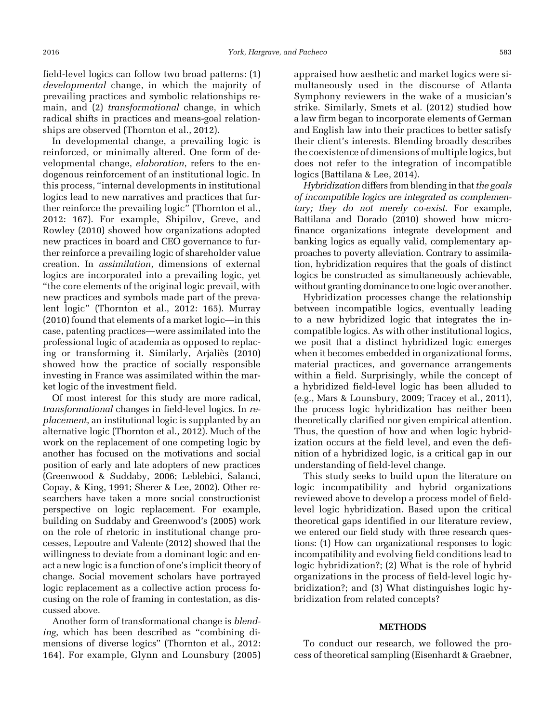field-level logics can follow two broad patterns: (1) developmental change, in which the majority of prevailing practices and symbolic relationships remain, and (2) transformational change, in which radical shifts in practices and means-goal relationships are observed [\(Thornton et al., 2012](#page-29-0)).

In developmental change, a prevailing logic is reinforced, or minimally altered. One form of developmental change, elaboration, refers to the endogenous reinforcement of an institutional logic. In this process, "internal developments in institutional logics lead to new narratives and practices that further reinforce the prevailing logic" ([Thornton et al.,](#page-29-0) [2012:](#page-29-0) 167). For example, [Shipilov, Greve, and](#page-29-0) [Rowley \(2010\)](#page-29-0) showed how organizations adopted new practices in board and CEO governance to further reinforce a prevailing logic of shareholder value creation. In assimilation, dimensions of external logics are incorporated into a prevailing logic, yet "the core elements of the original logic prevail, with new practices and symbols made part of the prevalent logic" ([Thornton et al., 2012:](#page-29-0) 165). [Murray](#page-28-0) [\(2010\)](#page-28-0) found that elements of a market logic—in this case, patenting practices—were assimilated into the professional logic of academia as opposed to replacing or transforming it. Similarly, Arjaliès (2010) showed how the practice of socially responsible investing in France was assimilated within the market logic of the investment field.

Of most interest for this study are more radical, transformational changes in field-level logics. In replacement, an institutional logic is supplanted by an alternative logic [\(Thornton et al., 2012](#page-29-0)). Much of the work on the replacement of one competing logic by another has focused on the motivations and social position of early and late adopters of new practices [\(Greenwood & Suddaby, 2006; Leblebici, Salanci,](#page-27-0) [Copay, & King, 1991](#page-27-0); [Sherer & Lee, 2002\)](#page-29-0). Other researchers have taken a more social constructionist perspective on logic replacement. For example, building on [Suddaby and Greenwood](#page-29-0)'s (2005) work on the role of rhetoric in institutional change processes, [Lepoutre and Valente \(2012\)](#page-27-0) showed that the willingness to deviate from a dominant logic and enact a new logic is a function of one's implicit theory of change. Social movement scholars have portrayed logic replacement as a collective action process focusing on the role of framing in contestation, as discussed above.

Another form of transformational change is blending, which has been described as "combining dimensions of diverse logics" [\(Thornton et al., 2012](#page-29-0): 164). For example, [Glynn and Lounsbury \(2005\)](#page-26-0)

appraised how aesthetic and market logics were simultaneously used in the discourse of Atlanta Symphony reviewers in the wake of a musician's strike. Similarly, [Smets et al. \(2012\)](#page-29-0) studied how a law firm began to incorporate elements of German and English law into their practices to better satisfy their client's interests. Blending broadly describes the coexistence of dimensions of multiple logics, but does not refer to the integration of incompatible logics [\(Battilana & Lee, 2014\)](#page-25-0).

Hybridization differs from blending in that the goals of incompatible logics are integrated as complementary; they do not merely co-exist. For example, [Battilana and Dorado \(2010\)](#page-25-0) showed how microfinance organizations integrate development and banking logics as equally valid, complementary approaches to poverty alleviation. Contrary to assimilation, hybridization requires that the goals of distinct logics be constructed as simultaneously achievable, without granting dominance to one logic over another.

Hybridization processes change the relationship between incompatible logics, eventually leading to a new hybridized logic that integrates the incompatible logics. As with other institutional logics, we posit that a distinct hybridized logic emerges when it becomes embedded in organizational forms, material practices, and governance arrangements within a field. Surprisingly, while the concept of a hybridized field-level logic has been alluded to (e.g., [Mars & Lounsbury, 2009;](#page-28-0) [Tracey et al., 2011](#page-29-0)), the process logic hybridization has neither been theoretically clarified nor given empirical attention. Thus, the question of how and when logic hybridization occurs at the field level, and even the definition of a hybridized logic, is a critical gap in our understanding of field-level change.

This study seeks to build upon the literature on logic incompatibility and hybrid organizations reviewed above to develop a process model of fieldlevel logic hybridization. Based upon the critical theoretical gaps identified in our literature review, we entered our field study with three research questions: (1) How can organizational responses to logic incompatibility and evolving field conditions lead to logic hybridization?; (2) What is the role of hybrid organizations in the process of field-level logic hybridization?; and (3) What distinguishes logic hybridization from related concepts?

### **METHODS**

To conduct our research, we followed the process of theoretical sampling [\(Eisenhardt & Graebner,](#page-26-0)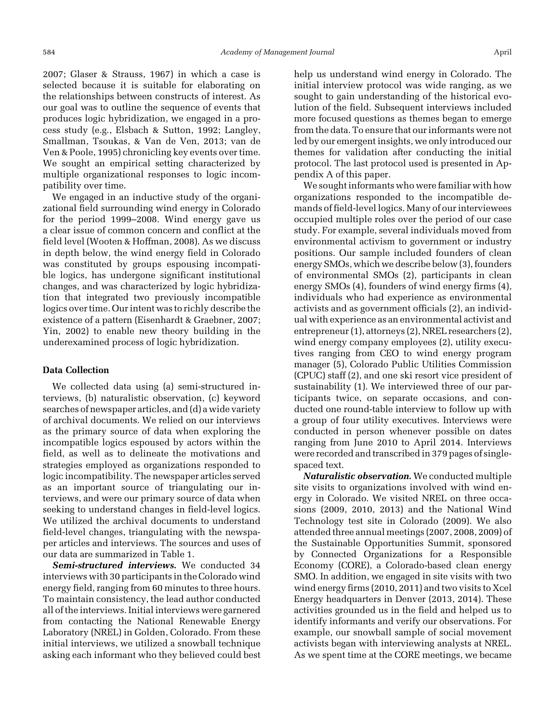[2007; Glaser & Strauss, 1967](#page-26-0)) in which a case is selected because it is suitable for elaborating on the relationships between constructs of interest. As our goal was to outline the sequence of events that produces logic hybridization, we engaged in a process study (e.g., [Elsbach & Sutton, 1992;](#page-26-0) [Langley,](#page-27-0) [Smallman, Tsoukas, & Van de Ven, 2013;](#page-27-0) [van de](#page-29-0) [Ven & Poole, 1995](#page-29-0)) chronicling key events over time. We sought an empirical setting characterized by multiple organizational responses to logic incompatibility over time.

We engaged in an inductive study of the organizational field surrounding wind energy in Colorado for the period 1999–2008. Wind energy gave us a clear issue of common concern and conflict at the field level ([Wooten & Hoffman, 2008](#page-30-0)). As we discuss in depth below, the wind energy field in Colorado was constituted by groups espousing incompatible logics, has undergone significant institutional changes, and was characterized by logic hybridization that integrated two previously incompatible logics over time. Our intent was to richly describe the existence of a pattern [\(Eisenhardt & Graebner, 2007](#page-26-0); [Yin, 2002](#page-30-0)) to enable new theory building in the underexamined process of logic hybridization.

# Data Collection

We collected data using (a) semi-structured interviews, (b) naturalistic observation, (c) keyword searches of newspaper articles, and (d) a wide variety of archival documents. We relied on our interviews as the primary source of data when exploring the incompatible logics espoused by actors within the field, as well as to delineate the motivations and strategies employed as organizations responded to logic incompatibility. The newspaper articles served as an important source of triangulating our interviews, and were our primary source of data when seeking to understand changes in field-level logics. We utilized the archival documents to understand field-level changes, triangulating with the newspaper articles and interviews. The sources and uses of our data are summarized in [Table 1.](#page-6-0)

Semi-structured interviews. We conducted 34 interviews with 30 participants in the Colorado wind energy field, ranging from 60 minutes to three hours. To maintain consistency, the lead author conducted all of the interviews. Initial interviews were garnered from contacting the National Renewable Energy Laboratory (NREL) in Golden, Colorado. From these initial interviews, we utilized a snowball technique asking each informant who they believed could best help us understand wind energy in Colorado. The initial interview protocol was wide ranging, as we sought to gain understanding of the historical evolution of the field. Subsequent interviews included more focused questions as themes began to emerge from the data. To ensure that our informants were not led by our emergent insights, we only introduced our themes for validation after conducting the initial protocol. The last protocol used is presented in Appendix A of this paper.

We sought informants who were familiar with how organizations responded to the incompatible demands of field-level logics. Many of our interviewees occupied multiple roles over the period of our case study. For example, several individuals moved from environmental activism to government or industry positions. Our sample included founders of clean energy SMOs, which we describe below (3), founders of environmental SMOs (2), participants in clean energy SMOs (4), founders of wind energy firms (4), individuals who had experience as environmental activists and as government officials (2), an individual with experience as an environmental activist and entrepreneur (1), attorneys (2), NREL researchers (2), wind energy company employees (2), utility executives ranging from CEO to wind energy program manager (5), Colorado Public Utilities Commission (CPUC) staff (2), and one ski resort vice president of sustainability (1). We interviewed three of our participants twice, on separate occasions, and conducted one round-table interview to follow up with a group of four utility executives. Interviews were conducted in person whenever possible on dates ranging from June 2010 to April 2014. Interviews were recorded and transcribed in 379 pages of singlespaced text.

Naturalistic observation. We conducted multiple site visits to organizations involved with wind energy in Colorado. We visited NREL on three occasions (2009, 2010, 2013) and the National Wind Technology test site in Colorado (2009). We also attended three annual meetings (2007, 2008, 2009) of the Sustainable Opportunities Summit, sponsored by Connected Organizations for a Responsible Economy (CORE), a Colorado-based clean energy SMO. In addition, we engaged in site visits with two wind energy firms (2010, 2011) and two visits to Xcel Energy headquarters in Denver (2013, 2014). These activities grounded us in the field and helped us to identify informants and verify our observations. For example, our snowball sample of social movement activists began with interviewing analysts at NREL. As we spent time at the CORE meetings, we became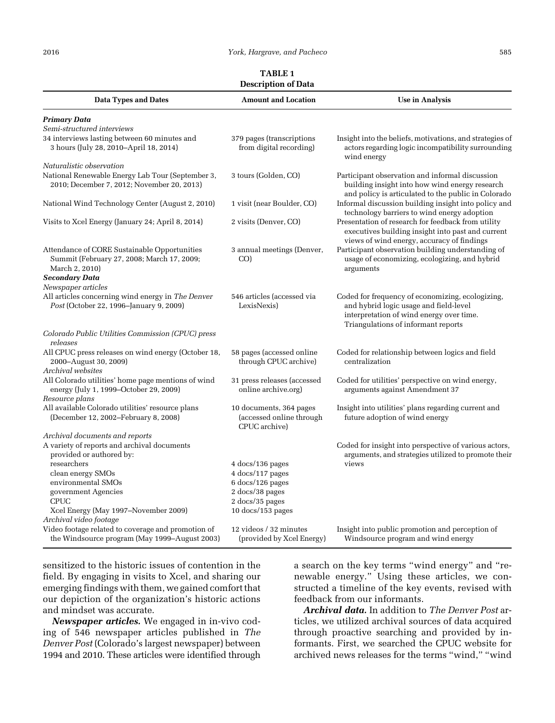# TABLE 1 Description of Data

<span id="page-6-0"></span>

| Data Types and Dates                                                                                                                  | <b>Amount and Location</b>                                           | Use in Analysis                                                                                                                                                               |
|---------------------------------------------------------------------------------------------------------------------------------------|----------------------------------------------------------------------|-------------------------------------------------------------------------------------------------------------------------------------------------------------------------------|
| <b>Primary Data</b>                                                                                                                   |                                                                      |                                                                                                                                                                               |
| Semi-structured interviews                                                                                                            |                                                                      |                                                                                                                                                                               |
| 34 interviews lasting between 60 minutes and<br>3 hours (July 28, 2010–April 18, 2014)                                                | 379 pages (transcriptions<br>from digital recording)                 | Insight into the beliefs, motivations, and strategies of<br>actors regarding logic incompatibility surrounding<br>wind energy                                                 |
| Naturalistic observation<br>National Renewable Energy Lab Tour (September 3,<br>2010; December 7, 2012; November 20, 2013)            | 3 tours (Golden, CO)                                                 | Participant observation and informal discussion<br>building insight into how wind energy research<br>and policy is articulated to the public in Colorado                      |
| National Wind Technology Center (August 2, 2010)                                                                                      | 1 visit (near Boulder, CO)                                           | Informal discussion building insight into policy and<br>technology barriers to wind energy adoption                                                                           |
| Visits to Xcel Energy (January 24; April 8, 2014)                                                                                     | 2 visits (Denver, CO)                                                | Presentation of research for feedback from utility<br>executives building insight into past and current<br>views of wind energy, accuracy of findings                         |
| Attendance of CORE Sustainable Opportunities<br>Summit (February 27, 2008; March 17, 2009;<br>March 2, 2010)<br><b>Secondary Data</b> | 3 annual meetings (Denver,<br>CO)                                    | Participant observation building understanding of<br>usage of economizing, ecologizing, and hybrid<br>arguments                                                               |
| Newspaper articles<br>All articles concerning wind energy in The Denver<br><i>Post</i> (October 22, 1996–January 9, 2009)             | 546 articles (accessed via<br>LexisNexis)                            | Coded for frequency of economizing, ecologizing,<br>and hybrid logic usage and field-level<br>interpretation of wind energy over time.<br>Triangulations of informant reports |
| Colorado Public Utilities Commission (CPUC) press<br>releases                                                                         |                                                                      |                                                                                                                                                                               |
| All CPUC press releases on wind energy (October 18,<br>2000-August 30, 2009)<br>Archival websites                                     | 58 pages (accessed online<br>through CPUC archive)                   | Coded for relationship between logics and field<br>centralization                                                                                                             |
| All Colorado utilities' home page mentions of wind<br>energy (July 1, 1999-October 29, 2009)<br>Resource plans                        | 31 press releases (accessed<br>online archive.org)                   | Coded for utilities' perspective on wind energy,<br>arguments against Amendment 37                                                                                            |
| All available Colorado utilities' resource plans<br>(December 12, 2002-February 8, 2008)                                              | 10 documents, 364 pages<br>(accessed online through<br>CPUC archive) | Insight into utilities' plans regarding current and<br>future adoption of wind energy                                                                                         |
| Archival documents and reports<br>A variety of reports and archival documents<br>provided or authored by:                             |                                                                      | Coded for insight into perspective of various actors,<br>arguments, and strategies utilized to promote their                                                                  |
| researchers<br>clean energy SMOs<br>environmental SMOs                                                                                | 4 docs/136 pages<br>4 docs/117 pages<br>6 docs/126 pages             | views                                                                                                                                                                         |
| government Agencies<br><b>CPUC</b>                                                                                                    | 2 docs/38 pages<br>2 docs/35 pages                                   |                                                                                                                                                                               |
| Xcel Energy (May 1997-November 2009)<br>Archival video footage                                                                        | 10 docs/153 pages                                                    |                                                                                                                                                                               |
| Video footage related to coverage and promotion of<br>the Windsource program (May 1999-August 2003)                                   | 12 videos / 32 minutes<br>(provided by Xcel Energy)                  | Insight into public promotion and perception of<br>Windsource program and wind energy                                                                                         |

sensitized to the historic issues of contention in the field. By engaging in visits to Xcel, and sharing our emerging findings with them, we gained comfort that our depiction of the organization's historic actions and mindset was accurate.

Newspaper articles. We engaged in in-vivo coding of 546 newspaper articles published in The Denver Post (Colorado's largest newspaper) between 1994 and 2010. These articles were identified through

a search on the key terms "wind energy" and "renewable energy." Using these articles, we constructed a timeline of the key events, revised with feedback from our informants.

Archival data. In addition to The Denver Post articles, we utilized archival sources of data acquired through proactive searching and provided by informants. First, we searched the CPUC website for archived news releases for the terms "wind," "wind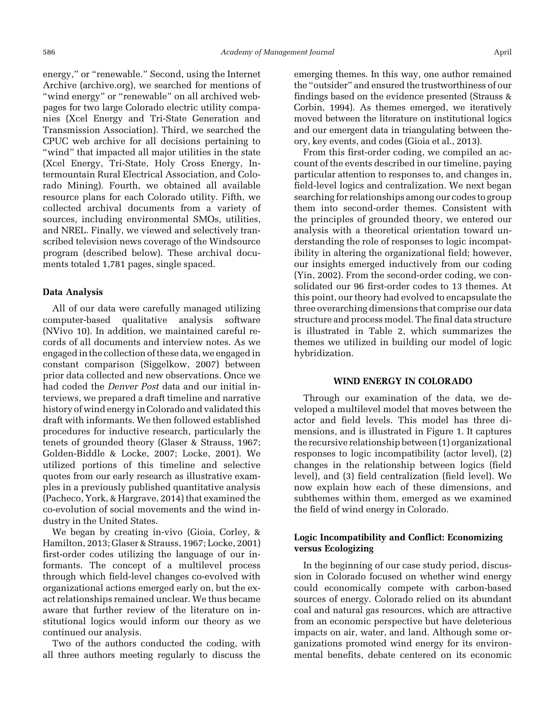energy," or "renewable." Second, using the Internet Archive ([archive.org](http://archive.org)), we searched for mentions of "wind energy" or "renewable" on all archived webpages for two large Colorado electric utility companies (Xcel Energy and Tri-State Generation and Transmission Association). Third, we searched the CPUC web archive for all decisions pertaining to "wind" that impacted all major utilities in the state (Xcel Energy, Tri-State, Holy Cross Energy, Intermountain Rural Electrical Association, and Colorado Mining). Fourth, we obtained all available resource plans for each Colorado utility. Fifth, we collected archival documents from a variety of sources, including environmental SMOs, utilities, and NREL. Finally, we viewed and selectively transcribed television news coverage of the Windsource program (described below). These archival documents totaled 1,781 pages, single spaced.

# Data Analysis

All of our data were carefully managed utilizing computer-based qualitative analysis software (NVivo 10). In addition, we maintained careful records of all documents and interview notes. As we engaged in the collection of these data, we engaged in constant comparison ([Siggelkow, 2007](#page-29-0)) between prior data collected and new observations. Once we had coded the Denver Post data and our initial interviews, we prepared a draft timeline and narrative history of wind energy in Colorado and validated this draft with informants. We then followed established procedures for inductive research, particularly the tenets of grounded theory [\(Glaser & Strauss, 1967](#page-26-0); [Golden-Biddle & Locke, 2007](#page-26-0); [Locke, 2001\)](#page-27-0). We utilized portions of this timeline and selective quotes from our early research as illustrative examples in a previously published quantitative analysis [\(Pacheco, York, & Hargrave, 2014\)](#page-28-0) that examined the co-evolution of social movements and the wind industry in the United States.

We began by creating in-vivo ([Gioia, Corley, &](#page-26-0) [Hamilton, 2013](#page-26-0); [Glaser & Strauss, 1967;](#page-26-0) [Locke, 2001\)](#page-27-0) first-order codes utilizing the language of our informants. The concept of a multilevel process through which field-level changes co-evolved with organizational actions emerged early on, but the exact relationships remained unclear. We thus became aware that further review of the literature on institutional logics would inform our theory as we continued our analysis.

Two of the authors conducted the coding, with all three authors meeting regularly to discuss the emerging themes. In this way, one author remained the "outsider" and ensured the trustworthiness of our findings based on the evidence presented [\(Strauss &](#page-29-0) [Corbin, 1994](#page-29-0)). As themes emerged, we iteratively moved between the literature on institutional logics and our emergent data in triangulating between theory, key events, and codes ([Gioia et al., 2013\)](#page-26-0).

From this first-order coding, we compiled an account of the events described in our timeline, paying particular attention to responses to, and changes in, field-level logics and centralization. We next began searching for relationships among our codes to group them into second-order themes. Consistent with the principles of grounded theory, we entered our analysis with a theoretical orientation toward understanding the role of responses to logic incompatibility in altering the organizational field; however, our insights emerged inductively from our coding [\(Yin, 2002\)](#page-30-0). From the second-order coding, we consolidated our 96 first-order codes to 13 themes. At this point, our theory had evolved to encapsulate the three overarching dimensions that comprise our data structure and process model. The final data structure is illustrated in [Table 2](#page-8-0), which summarizes the themes we utilized in building our model of logic hybridization.

### WIND ENERGY IN COLORADO

Through our examination of the data, we developed a multilevel model that moves between the actor and field levels. This model has three dimensions, and is illustrated in [Figure 1](#page-10-0). It captures the recursive relationship between (1) organizational responses to logic incompatibility (actor level), (2) changes in the relationship between logics (field level), and (3) field centralization (field level). We now explain how each of these dimensions, and subthemes within them, emerged as we examined the field of wind energy in Colorado.

# Logic Incompatibility and Conflict: Economizing versus Ecologizing

In the beginning of our case study period, discussion in Colorado focused on whether wind energy could economically compete with carbon-based sources of energy. Colorado relied on its abundant coal and natural gas resources, which are attractive from an economic perspective but have deleterious impacts on air, water, and land. Although some organizations promoted wind energy for its environmental benefits, debate centered on its economic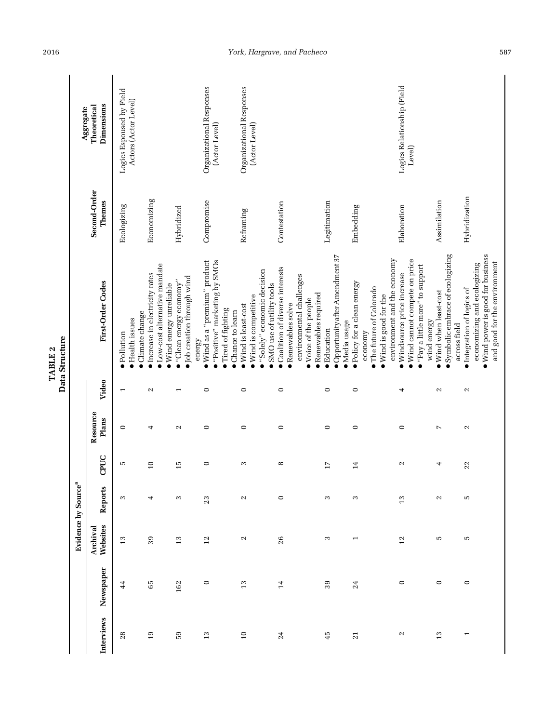|                   |           |                      |                                 |                   |                   |                   | Data Structure                                                                                                                  |                        |                                                  |
|-------------------|-----------|----------------------|---------------------------------|-------------------|-------------------|-------------------|---------------------------------------------------------------------------------------------------------------------------------|------------------------|--------------------------------------------------|
|                   |           |                      | Evidence by Source <sup>a</sup> |                   |                   |                   |                                                                                                                                 |                        | Aggregate                                        |
| Interviews        | Newspaper | Websites<br>Archival | Reports                         | CPUC              | Resource<br>Plans | Video             | First-Order Codes                                                                                                               | Second-Order<br>Themes | Dimensions<br>Theoretical                        |
| 28                | 44        | 13                   | S                               | S                 | $\circ$           | 1                 | Climate change<br>• Health issues<br>Pollution                                                                                  | Ecologizing            | Logics Espoused by Field<br>Actors (Actor Level) |
| 19                | 65        | 39                   | 4                               | 10                | 4                 | $\mathbf{\Omega}$ | Low-cost alternative mandate<br>Increase in electricity rates                                                                   | Economizing            |                                                  |
| 59                | 162       | 13                   | S                               | 15                | $\mathbf{c}$      | 1                 | Job creation through wind<br>$\bullet$ "Clean energy economy"<br>■ Wind energy unreliable<br>energy                             | Hybridized             |                                                  |
| 13                | $\circ$   | 12                   | 23                              | $\circ$           | $\circ$           | $\circ$           | "Positive" marketing by SMOs<br>Wind as a "premium" product<br>Tired of fighting<br>Chance to learn                             | Compromise             | Organizational Responses<br>(Actor Level)        |
| 10                | 13        | $\mathbf{c}$         | $\mathbf{\sim}$                 | 3                 | $\circ$           | $\circ$           | "Solely" economic decision<br>SMO use of utility tools<br>Wind is competitive<br>Wind is least-cost                             | Reframing              | Organizational Responses<br>(Actor Level)        |
| 24                | 14        | 26                   | $\circ$                         | $^{\circ}$        | $\circ$           | $\circ$           | Coalition of diverse interests<br>environmental challenges<br>Renewables required<br>Voice of the people<br>Renewables solve    | Contestation           |                                                  |
| 45                | 39        | S                    | 3                               | 17                | $\circ$           | $\circ$           | Opportunity after Amendment 37<br>Media usage<br>Education                                                                      | Legitimation           |                                                  |
| 21                | 24        | 1                    | S                               | 14                | $\circ$           | $\circ$           | environment and the economy<br>Policy for a clean energy<br>$\bullet$ The future of Colorado<br>Wind is good for the<br>economy | Embedding              |                                                  |
| $\mathbf{\Omega}$ | $\circ$   | 12                   | 13                              | $\mathbf{\Omega}$ | $\circ$           | 4                 | Wind cannot compete on price<br>"Pay a little more" to support<br>Windsource price increase<br>wind energy                      | Elaboration            | Logics Relationship (Field<br>$_{\rm Level}$     |
| 13                | $\circ$   | Б                    | $\mathbf{\Omega}$               | 4                 | $\overline{ }$    | $\mathbf{c}$      | Symbolic embrace of ecologizing<br>Wind when least-cost<br>across field                                                         | Assimilation           |                                                  |
| $\mathbf{r}$      | $\circ$   | Б                    | Ю                               | 22                | 2                 | 2                 | Wind power is good for business<br>and good for the environment<br>economizing and ecologizing<br>Integration of logics of      | Hybridization          |                                                  |

TABLE 2 TABLE 2

<span id="page-8-0"></span>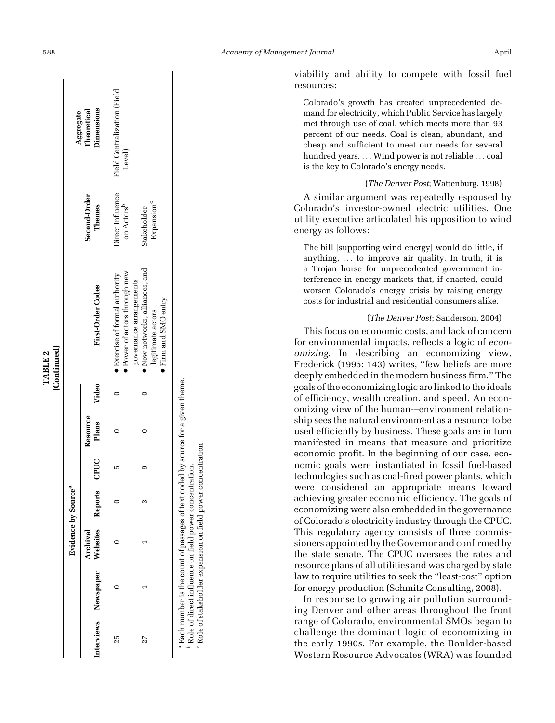| Level)<br>Direct Influence<br>Second-Order<br>Expansion <sup>c</sup><br>Themes<br>on Actors <sup>p</sup><br>Stakeholder<br>$\bullet$ New networks, alliances, and<br>Power of actors through new<br>$\bullet$ Exercise of formal authority<br>governance arrangements<br>First-Order Codes<br>legitimate actors<br>Video<br>Resource<br>Plans<br>CPUC<br>S<br>Evidence by Source <sup>a</sup><br>Websites Reports<br>Archival<br>25<br>27 |  |  | (Continued) |                                    |
|-------------------------------------------------------------------------------------------------------------------------------------------------------------------------------------------------------------------------------------------------------------------------------------------------------------------------------------------------------------------------------------------------------------------------------------------|--|--|-------------|------------------------------------|
| Interviews Newspaper                                                                                                                                                                                                                                                                                                                                                                                                                      |  |  |             | Aggregate                          |
|                                                                                                                                                                                                                                                                                                                                                                                                                                           |  |  |             | Dimensions<br>Theoretical          |
|                                                                                                                                                                                                                                                                                                                                                                                                                                           |  |  |             | <b>Field Centralization (Field</b> |
| Firm and SMO entry                                                                                                                                                                                                                                                                                                                                                                                                                        |  |  |             |                                    |

viability and ability to compete with fossil fuel resources:

Colorado's growth has created unprecedented demand for electricity, which Public Service has largely met through use of coal, which meets more than 93 percent of our needs. Coal is clean, abundant, and cheap and sufficient to meet our needs for several hundred years. ... Wind power is not reliable ... coal is the key to Colorado's energy needs.

### (The Denver Post; [Wattenburg, 1998](#page-29-0))

A similar argument was repeatedly espoused by Colorado's investor-owned electric utilities. One utility executive articulated his opposition to wind energy as follows:

The bill [supporting wind energy] would do little, if anything, ... to improve air quality. In truth, it is a Trojan horse for unprecedented government interference in energy markets that, if enacted, could worsen Colorado's energy crisis by raising energy costs for industrial and residential consumers alike.

### (The Denver Post; [Sanderson, 2004](#page-28-0))

This focus on economic costs, and lack of concern for environmental impacts, reflects a logic of economizing. In describing an economizing view, [Frederick \(1995:](#page-26-0) 143) writes, "few beliefs are more deeply embedded in the modern business firm." The goals of the economizing logic are linked to the ideals of efficiency, wealth creation, and speed. An economizing view of the human-–environment relationship sees the natural environment as a resource to be used efficiently by business. These goals are in turn manifested in means that measure and prioritize economic profit. In the beginning of our case, economic goals were instantiated in fossil fuel-based technologies such as coal-fired power plants, which were considered an appropriate means toward achieving greater economic efficiency. The goals of economizing were also embedded in the governance of Colorado's electricity industry through the CPUC. This regulatory agency consists of three commissioners appointed by the Governor and confirmed by the state senate. The CPUC oversees the rates and resource plans of all utilities and was charged by state law to require utilities to seek the "least-cost" option for energy production [\(Schmitz Consulting, 2008](#page-29-0)).

In response to growing air pollution surrounding Denver and other areas throughout the front range of Colorado, environmental SMOs began to challenge the dominant logic of economizing in the early 1990s. For example, the Boulder-based Western Resource Advocates (WRA) was founded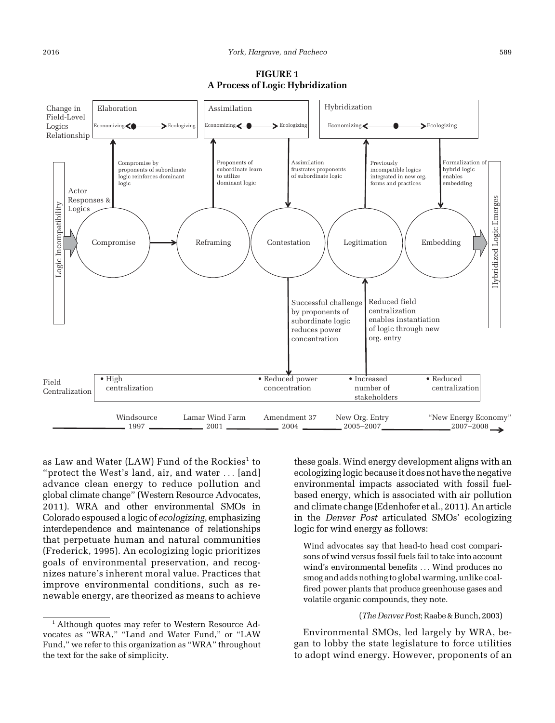FIGURE 1 A Process of Logic Hybridization

<span id="page-10-0"></span>

as Law and Water (LAW) Fund of the Rockies<sup>1</sup> to "protect the West's land, air, and water ... [and] advance clean energy to reduce pollution and global climate change" [\(Western Resource Advocates,](#page-30-0) [2011\)](#page-30-0). WRA and other environmental SMOs in Colorado espoused a logic of ecologizing, emphasizing interdependence and maintenance of relationships that perpetuate human and natural communities [\(Frederick, 1995\)](#page-26-0). An ecologizing logic prioritizes goals of environmental preservation, and recognizes nature's inherent moral value. Practices that improve environmental conditions, such as renewable energy, are theorized as means to achieve

these goals. Wind energy development aligns with an ecologizing logic because it does not have the negative environmental impacts associated with fossil fuelbased energy, which is associated with air pollution and climate change [\(Edenhofer et al., 2011\)](#page-26-0). An article in the Denver Post articulated SMOs' ecologizing logic for wind energy as follows:

Wind advocates say that head-to head cost comparisons of wind versus fossil fuels fail to take into account wind's environmental benefits ... Wind produces no smog and adds nothing to global warming, unlike coalfired power plants that produce greenhouse gases and volatile organic compounds, they note.

### (The Denver Post; [Raabe & Bunch, 2003](#page-28-0))

Environmental SMOs, led largely by WRA, began to lobby the state legislature to force utilities to adopt wind energy. However, proponents of an

<sup>&</sup>lt;sup>1</sup> Although quotes may refer to Western Resource Advocates as "WRA," "Land and Water Fund," or "LAW Fund," we refer to this organization as "WRA" throughout the text for the sake of simplicity.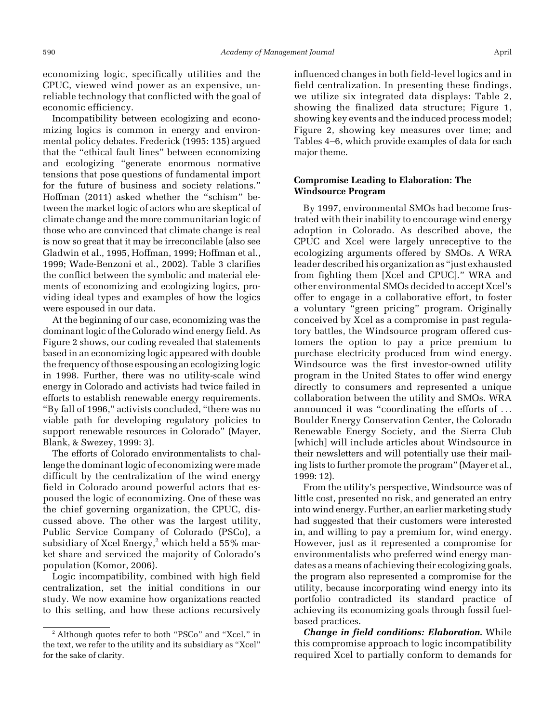economizing logic, specifically utilities and the CPUC, viewed wind power as an expensive, unreliable technology that conflicted with the goal of economic efficiency.

Incompatibility between ecologizing and economizing logics is common in energy and environmental policy debates. [Frederick \(1995:](#page-26-0) 135) argued that the "ethical fault lines" between economizing and ecologizing "generate enormous normative tensions that pose questions of fundamental import for the future of business and society relations." [Hoffman \(2011\)](#page-27-0) asked whether the "schism" between the market logic of actors who are skeptical of climate change and the more communitarian logic of those who are convinced that climate change is real is now so great that it may be irreconcilable (also see [Gladwin et al., 1995,](#page-26-0) [Hoffman, 1999; Hoffman et al.,](#page-27-0) [1999;](#page-27-0) [Wade-Benzoni et al., 2002](#page-29-0)). [Table 3](#page-12-0) clarifies the conflict between the symbolic and material elements of economizing and ecologizing logics, providing ideal types and examples of how the logics were espoused in our data.

At the beginning of our case, economizing was the dominant logic of the Colorado wind energy field. As [Figure 2](#page-13-0) shows, our coding revealed that statements based in an economizing logic appeared with double the frequency of those espousing an ecologizing logic in 1998. Further, there was no utility-scale wind energy in Colorado and activists had twice failed in efforts to establish renewable energy requirements. "By fall of 1996," activists concluded, "there was no viable path for developing regulatory policies to support renewable resources in Colorado" ([Mayer,](#page-28-0) [Blank, & Swezey, 1999:](#page-28-0) 3).

The efforts of Colorado environmentalists to challenge the dominant logic of economizing were made difficult by the centralization of the wind energy field in Colorado around powerful actors that espoused the logic of economizing. One of these was the chief governing organization, the CPUC, discussed above. The other was the largest utility, Public Service Company of Colorado (PSCo), a subsidiary of Xcel Energy,<sup>2</sup> which held a 55% market share and serviced the majority of Colorado's population ([Komor, 2006\)](#page-27-0).

Logic incompatibility, combined with high field centralization, set the initial conditions in our study. We now examine how organizations reacted to this setting, and how these actions recursively

influenced changes in both field-level logics and in field centralization. In presenting these findings, we utilize six integrated data displays: [Table 2](#page-8-0), showing the finalized data structure; [Figure 1](#page-10-0), showing key events and the induced process model; [Figure 2](#page-13-0), showing key measures over time; and [Tables 4](#page-14-0)–[6](#page-18-0), which provide examples of data for each major theme.

# Compromise Leading to Elaboration: The Windsource Program

By 1997, environmental SMOs had become frustrated with their inability to encourage wind energy adoption in Colorado. As described above, the CPUC and Xcel were largely unreceptive to the ecologizing arguments offered by SMOs. A WRA leader described his organization as "just exhausted from fighting them [Xcel and CPUC]." WRA and other environmental SMOs decided to accept Xcel's offer to engage in a collaborative effort, to foster a voluntary "green pricing" program. Originally conceived by Xcel as a compromise in past regulatory battles, the Windsource program offered customers the option to pay a price premium to purchase electricity produced from wind energy. Windsource was the first investor-owned utility program in the United States to offer wind energy directly to consumers and represented a unique collaboration between the utility and SMOs. WRA announced it was "coordinating the efforts of ... Boulder Energy Conservation Center, the Colorado Renewable Energy Society, and the Sierra Club [which] will include articles about Windsource in their newsletters and will potentially use their mailing lists to further promote the program" [\(Mayer et al.,](#page-28-0) [1999:](#page-28-0) 12).

From the utility's perspective, Windsource was of little cost, presented no risk, and generated an entry into wind energy. Further, an earlier marketing study had suggested that their customers were interested in, and willing to pay a premium for, wind energy. However, just as it represented a compromise for environmentalists who preferred wind energy mandates as a means of achieving their ecologizing goals, the program also represented a compromise for the utility, because incorporating wind energy into its portfolio contradicted its standard practice of achieving its economizing goals through fossil fuelbased practices.

Change in field conditions: Elaboration. While this compromise approach to logic incompatibility required Xcel to partially conform to demands for

<sup>2</sup> Although quotes refer to both "PSCo" and "Xcel," in the text, we refer to the utility and its subsidiary as "Xcel" for the sake of clarity.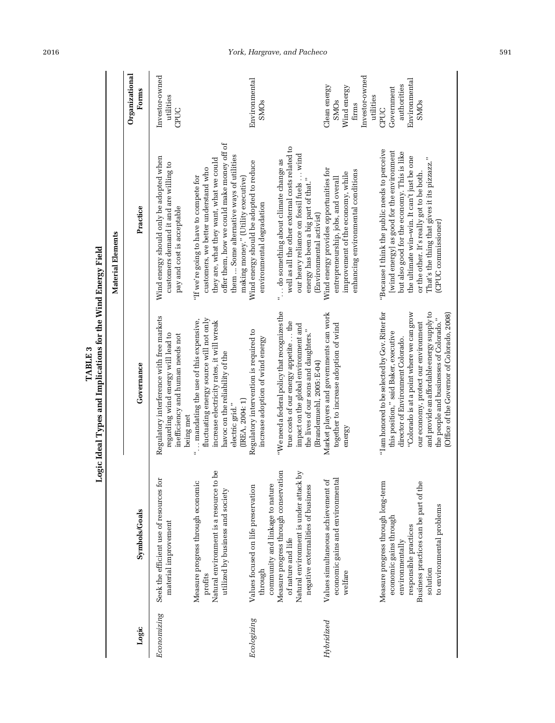|             |                                                                                                                                             |                                                                                                                                                                                                                          | <b>Material Elements</b>                                                                                                                                                                                                                                 |                                                                                               |
|-------------|---------------------------------------------------------------------------------------------------------------------------------------------|--------------------------------------------------------------------------------------------------------------------------------------------------------------------------------------------------------------------------|----------------------------------------------------------------------------------------------------------------------------------------------------------------------------------------------------------------------------------------------------------|-----------------------------------------------------------------------------------------------|
| Logic       | Symbols/Goals                                                                                                                               | Governance                                                                                                                                                                                                               | Practice                                                                                                                                                                                                                                                 | Organizational<br>Forms                                                                       |
| Economizing | Seek the efficient use of resources for<br>material improvement                                                                             | Regulatory interference with free markets<br>regarding wind energy will lead to<br>inefficiency and human needs not<br>being met                                                                                         | Wind energy should only be adopted when<br>customers demand it and are willing to<br>pay and cost is acceptable                                                                                                                                          | Investor-owned<br>utilities<br>CPUC                                                           |
|             | Natural environment is a resource to be<br>Measure progress through economic<br>utilized by business and society<br>profits                 | fluctuating energy source will not only<br>" mandating the use of this expensive,<br>increase electricity rates, it will wreak<br>havoc on the reliability of the<br>(IREA, 2004: 1)<br>electric grid."                  | offer them, how we could make money off of<br>them  Some alternative ways of utilities<br>they are, what they want, what we could<br>customers, we better understand who<br>"If we're going to have to compete for<br>making money." (Utility executive) |                                                                                               |
| Ecologizing | community and linkage to nature<br>Values focused on life preservation<br>through                                                           | Regulatory intervention is required to<br>increase adoption of wind energy                                                                                                                                               | Wind energy should be adopted to reduce<br>environmental degradation                                                                                                                                                                                     | Environmental<br><b>SMO<sub>s</sub></b>                                                       |
|             | Measure progress through conservation<br>Natural environment is under attack by<br>negative externalities of business<br>of nature and life | "We need a federal policy that recognizes the<br>true costs of our energy appetite  the<br>impact on the global environment and<br>the lives of our sons and daughters."<br>(Brandemuehl, 2005: E-04)                    | well as all the other external costs related to<br>our heavy reliance on fossil fuels wind<br>" do something about climate change as<br>energy has been a big part of that."<br>(Environmental activist)                                                 |                                                                                               |
| Hybridized  | economic gains and environmental<br>Values simultaneous achievement of<br>welfare                                                           | Market players and governments can work<br>together to increase adoption of wind<br>energy                                                                                                                               | Wind energy provides opportunities for<br>enhancing environmental conditions<br>improvement of the economy, while<br>entrepreneurship, jobs, and overall                                                                                                 | Investor-owned<br>Clean energy<br>Wind energy<br>utilities<br><b>SMO<sub>s</sub></b><br>firms |
|             | Measure progress through long-term<br>economic gains through<br>$env$ ironmentally                                                          | "I am honored to be selected by Gov. Ritter for<br>this position," said Baker, executive<br>director of Environment Colorado.                                                                                            | "Because I think the public needs to perceive<br>[wind energy] as good for the environment<br>but also good for the economy. This is like                                                                                                                | authorities<br>Government<br>CPUC                                                             |
|             | фe<br>Business practices can be part of<br>to environmental problems<br>responsible practices<br>solution                                   | "Colorado is at a point where we can grow<br>and provide an affordable energy supply to<br>(Office of the Governor of Colorado, 2008)<br>the people and businesses of Colorado."<br>our economy, protect our environment | the ultimate win-win. It can't just be one<br>That's the thing that gives it its pizzazz."<br>or the other. It's really got to be both.<br>(CPUC commissioner)                                                                                           | Environmental<br><b>SMO<sub>s</sub></b>                                                       |

Logic Ideal Types and Implications for the Wind Energy Field Logic Ideal Types and Implications for the Wind Energy Field TABLE 3 TABLE 3

<span id="page-12-0"></span>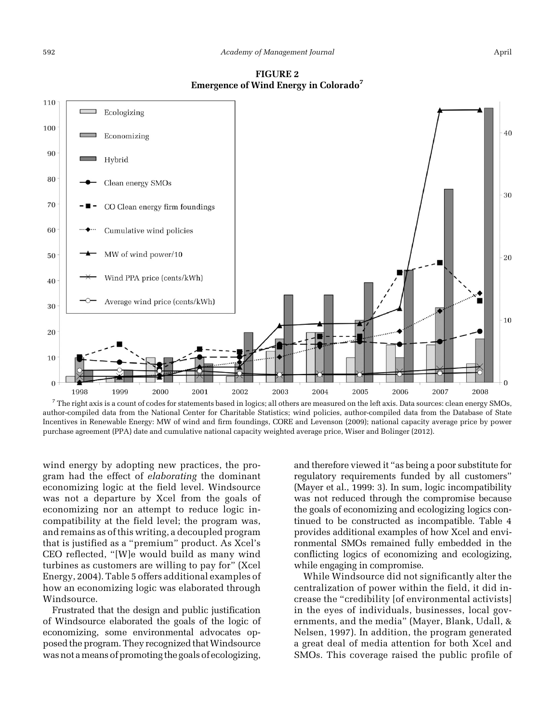FIGURE 2 Emergence of Wind Energy in Colorado<sup>7</sup>

<span id="page-13-0"></span>

 $^7$  The right axis is a count of codes for statements based in logics; all others are measured on the left axis. Data sources: clean energy SMOs, author-compiled data from the National Center for Charitable Statistics; wind policies, author-compiled data from the Database of State Incentives in Renewable Energy: MW of wind and firm foundings, [CORE and Levenson \(2009\);](#page-26-0) national capacity average price by power purchase agreement (PPA) date and cumulative national capacity weighted average price, [Wiser and Bolinger \(2012\)](#page-30-0).

wind energy by adopting new practices, the program had the effect of *elaborating* the dominant economizing logic at the field level. Windsource was not a departure by Xcel from the goals of economizing nor an attempt to reduce logic incompatibility at the field level; the program was, and remains as of this writing, a decoupled program that is justified as a "premium" product. As Xcel's CEO reflected, "[W]e would build as many wind turbines as customers are willing to pay for" [\(Xcel](#page-30-0) [Energy, 2004](#page-30-0)). [Table 5](#page-17-0) offers additional examples of how an economizing logic was elaborated through Windsource.

Frustrated that the design and public justification of Windsource elaborated the goals of the logic of economizing, some environmental advocates opposed the program. They recognized that Windsource was not a means of promoting the goals of ecologizing,

and therefore viewed it "as being a poor substitute for regulatory requirements funded by all customers" [\(Mayer et al., 1999](#page-28-0): 3). In sum, logic incompatibility was not reduced through the compromise because the goals of economizing and ecologizing logics continued to be constructed as incompatible. [Table 4](#page-14-0) provides additional examples of how Xcel and environmental SMOs remained fully embedded in the conflicting logics of economizing and ecologizing, while engaging in compromise.

While Windsource did not significantly alter the centralization of power within the field, it did increase the "credibility [of environmental activists] in the eyes of individuals, businesses, local governments, and the media" ([Mayer, Blank, Udall, &](#page-28-0) [Nelsen, 1997\)](#page-28-0). In addition, the program generated a great deal of media attention for both Xcel and SMOs. This coverage raised the public profile of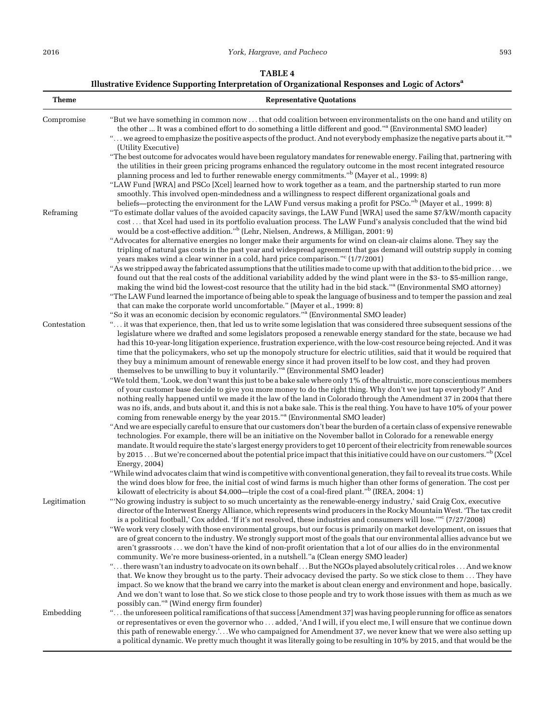<span id="page-14-0"></span>

### TABLE 4

Illustrative Evidence Supporting Interpretation of Organizational Responses and Logic of Actors<sup>a</sup>

| <b>Theme</b> | <b>Representative Quotations</b>                                                                                                                                                                                                                                                                                                                                                                                                                                                                                                                                                                                              |
|--------------|-------------------------------------------------------------------------------------------------------------------------------------------------------------------------------------------------------------------------------------------------------------------------------------------------------------------------------------------------------------------------------------------------------------------------------------------------------------------------------------------------------------------------------------------------------------------------------------------------------------------------------|
| Compromise   | "But we have something in common now  that odd coalition between environmentalists on the one hand and utility on<br>the other  It was a combined effort to do something a little different and good." <sup>a</sup> (Environmental SMO leader)<br>" we agreed to emphasize the positive aspects of the product. And not everybody emphasize the negative parts about it." <sup>a</sup>                                                                                                                                                                                                                                        |
|              | (Utility Executive)<br>"The best outcome for advocates would have been regulatory mandates for renewable energy. Failing that, partnering with<br>the utilities in their green pricing programs enhanced the regulatory outcome in the most recent integrated resource                                                                                                                                                                                                                                                                                                                                                        |
|              | planning process and led to further renewable energy commitments." Mayer et al., 1999: 8)<br>"LAW Fund [WRA] and PSCo [Xcel] learned how to work together as a team, and the partnership started to run more<br>smoothly. This involved open-mindedness and a willingness to respect different organizational goals and                                                                                                                                                                                                                                                                                                       |
| Reframing    | beliefs—protecting the environment for the LAW Fund versus making a profit for PSCo." <sup>b</sup> (Mayer et al., 1999: 8)<br>"To estimate dollar values of the avoided capacity savings, the LAW Fund [WRA] used the same \$7/kW/month capacity<br>cost  that Xcel had used in its portfolio evaluation process. The LAW Fund's analysis concluded that the wind bid<br>would be a cost-effective addition."b (Lehr, Nielsen, Andrews, & Milligan, 2001: 9)                                                                                                                                                                  |
|              | "Advocates for alternative energies no longer make their arguments for wind on clean-air claims alone. They say the<br>tripling of natural gas costs in the past year and widespread agreement that gas demand will outstrip supply in coming                                                                                                                                                                                                                                                                                                                                                                                 |
|              | years makes wind a clear winner in a cold, hard price comparison." <sup>c</sup> (1/7/2001)<br>"As we stripped away the fabricated assumptions that the utilities made to come up with that addition to the bid price  we<br>found out that the real costs of the additional variability added by the wind plant were in the \$3- to \$5-million range,<br>making the wind bid the lowest-cost resource that the utility had in the bid stack." <sup>a</sup> (Environmental SMO attorney)                                                                                                                                      |
|              | "The LAW Fund learned the importance of being able to speak the language of business and to temper the passion and zeal<br>that can make the corporate world uncomfortable." (Mayer et al., 1999: 8)                                                                                                                                                                                                                                                                                                                                                                                                                          |
|              | "So it was an economic decision by economic regulators." <sup>a</sup> (Environmental SMO leader)                                                                                                                                                                                                                                                                                                                                                                                                                                                                                                                              |
| Contestation | " it was that experience, then, that led us to write some legislation that was considered three subsequent sessions of the<br>legislature where we drafted and some legislators proposed a renewable energy standard for the state, because we had<br>had this 10-year-long litigation experience, frustration experience, with the low-cost resource being rejected. And it was<br>time that the policymakers, who set up the monopoly structure for electric utilities, said that it would be required that<br>they buy a minimum amount of renewable energy since it had proven itself to be low cost, and they had proven |
|              | themselves to be unwilling to buy it voluntarily." <sup>a</sup> (Environmental SMO leader)                                                                                                                                                                                                                                                                                                                                                                                                                                                                                                                                    |
|              | "We told them, 'Look, we don't want this just to be a bake sale where only 1% of the altruistic, more conscientious members<br>of your customer base decide to give you more money to do the right thing. Why don't we just tap everybody?' And<br>nothing really happened until we made it the law of the land in Colorado through the Amendment 37 in 2004 that there<br>was no ifs, ands, and buts about it, and this is not a bake sale. This is the real thing. You have to have 10% of your power<br>coming from renewable energy by the year 2015." (Environmental SMO leader)                                         |
|              | "And we are especially careful to ensure that our customers don't bear the burden of a certain class of expensive renewable<br>technologies. For example, there will be an initiative on the November ballot in Colorado for a renewable energy<br>mandate. It would require the state's largest energy providers to get 10 percent of their electricity from renewable sources<br>by 2015  But we're concerned about the potential price impact that this initiative could have on our customers." <sup>b</sup> [Xcel                                                                                                        |
|              | Energy, 2004)                                                                                                                                                                                                                                                                                                                                                                                                                                                                                                                                                                                                                 |
|              | "While wind advocates claim that wind is competitive with conventional generation, they fail to reveal its true costs. While<br>the wind does blow for free, the initial cost of wind farms is much higher than other forms of generation. The cost per<br>kilowatt of electricity is about \$4,000-triple the cost of a coal-fired plant."b (IREA, 2004: 1)                                                                                                                                                                                                                                                                  |
| Legitimation | "No growing industry is subject to so much uncertainty as the renewable-energy industry,' said Craig Cox, executive<br>director of the Interwest Energy Alliance, which represents wind producers in the Rocky Mountain West. 'The tax credit<br>is a political football,' Cox added. 'If it's not resolved, these industries and consumers will lose."" (7/27/2008)                                                                                                                                                                                                                                                          |
|              | "We work very closely with those environmental groups, but our focus is primarily on market development, on issues that<br>are of great concern to the industry. We strongly support most of the goals that our environmental allies advance but we<br>aren't grassroots  we don't have the kind of non-profit orientation that a lot of our allies do in the environmental                                                                                                                                                                                                                                                   |
|              | community. We're more business-oriented, in a nutshell."a (Clean energy SMO leader)<br>"there wasn't an industry to advocate on its own behalfBut the NGOs played absolutely critical rolesAnd we know<br>that. We know they brought us to the party. Their advocacy devised the party. So we stick close to them  They have                                                                                                                                                                                                                                                                                                  |
|              | impact. So we know that the brand we carry into the market is about clean energy and environment and hope, basically.<br>And we don't want to lose that. So we stick close to those people and try to work those issues with them as much as we                                                                                                                                                                                                                                                                                                                                                                               |
| Embedding    | possibly can." <sup>a</sup> (Wind energy firm founder)<br>" the unforeseen political ramifications of that success [Amendment 37] was having people running for office as senators<br>or representatives or even the governor who  added, 'And I will, if you elect me, I will ensure that we continue down                                                                                                                                                                                                                                                                                                                   |
|              | this path of renewable energy.'We who campaigned for Amendment 37, we never knew that we were also setting up<br>a political dynamic. We pretty much thought it was literally going to be resulting in 10% by 2015, and that would be the                                                                                                                                                                                                                                                                                                                                                                                     |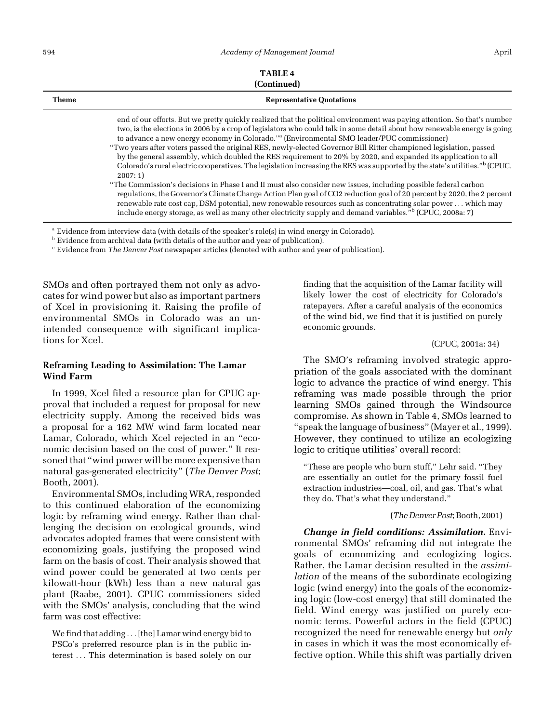# TABLE 4 (Continued)

| Theme | <b>Representative Quotations</b>                                                                                                                                                                                                                                                                                                                                                                                                                                                                                                                                                                                                                                                                                                                                                                                                                                                                                                                                                            |
|-------|---------------------------------------------------------------------------------------------------------------------------------------------------------------------------------------------------------------------------------------------------------------------------------------------------------------------------------------------------------------------------------------------------------------------------------------------------------------------------------------------------------------------------------------------------------------------------------------------------------------------------------------------------------------------------------------------------------------------------------------------------------------------------------------------------------------------------------------------------------------------------------------------------------------------------------------------------------------------------------------------|
|       | end of our efforts. But we pretty quickly realized that the political environment was paying attention. So that's number<br>two, is the elections in 2006 by a crop of legislators who could talk in some detail about how renewable energy is going<br>to advance a new energy economy in Colorado." <sup>a</sup> (Environmental SMO leader/PUC commissioner)<br>"Two years after voters passed the original RES, newly-elected Governor Bill Ritter championed legislation, passed<br>by the general assembly, which doubled the RES requirement to 20% by 2020, and expanded its application to all<br>Colorado's rural electric cooperatives. The legislation increasing the RES was supported by the state's utilities."b (CPUC,<br>2007:1<br>"The Commission's decisions in Phase I and II must also consider new issues, including possible federal carbon<br>regulations, the Governor's Climate Change Action Plan goal of CO2 reduction goal of 20 percent by 2020, the 2 percent |
|       | renewable rate cost cap, DSM potential, new renewable resources such as concentrating solar power  which may<br>include energy storage, as well as many other electricity supply and demand variables." (CPUC, 2008a: 7)                                                                                                                                                                                                                                                                                                                                                                                                                                                                                                                                                                                                                                                                                                                                                                    |

<sup>a</sup> Evidence from interview data (with details of the speaker's role(s) in wind energy in Colorado).

**b** Evidence from archival data (with details of the author and year of publication).

 $c$  Evidence from The Denver Post newspaper articles (denoted with author and year of publication).

SMOs and often portrayed them not only as advocates for wind power but also as important partners of Xcel in provisioning it. Raising the profile of environmental SMOs in Colorado was an unintended consequence with significant implications for Xcel.

# Reframing Leading to Assimilation: The Lamar Wind Farm

In 1999, Xcel filed a resource plan for CPUC approval that included a request for proposal for new electricity supply. Among the received bids was a proposal for a 162 MW wind farm located near Lamar, Colorado, which Xcel rejected in an "economic decision based on the cost of power." It reasoned that "wind power will be more expensive than natural gas-generated electricity" (The Denver Post; [Booth, 2001](#page-26-0)).

Environmental SMOs, including WRA, responded to this continued elaboration of the economizing logic by reframing wind energy. Rather than challenging the decision on ecological grounds, wind advocates adopted frames that were consistent with economizing goals, justifying the proposed wind farm on the basis of cost. Their analysis showed that wind power could be generated at two cents per kilowatt-hour (kWh) less than a new natural gas plant [\(Raabe, 2001\)](#page-28-0). CPUC commissioners sided with the SMOs' analysis, concluding that the wind farm was cost effective:

We find that adding ... [the] Lamar wind energy bid to PSCo's preferred resource plan is in the public interest ... This determination is based solely on our finding that the acquisition of the Lamar facility will likely lower the cost of electricity for Colorado's ratepayers. After a careful analysis of the economics of the wind bid, we find that it is justified on purely economic grounds.

### [\(CPUC, 2001a](#page-26-0): 34)

The SMO's reframing involved strategic appropriation of the goals associated with the dominant logic to advance the practice of wind energy. This reframing was made possible through the prior learning SMOs gained through the Windsource compromise. As shown in [Table 4,](#page-14-0) SMOs learned to "speak the language of business" ([Mayer et al., 1999](#page-28-0)). However, they continued to utilize an ecologizing logic to critique utilities' overall record:

"These are people who burn stuff," Lehr said. "They are essentially an outlet for the primary fossil fuel extraction industries—coal, oil, and gas. That's what they do. That's what they understand."

#### (The Denver Post; [Booth, 2001](#page-26-0))

Change in field conditions: Assimilation. Environmental SMOs' reframing did not integrate the goals of economizing and ecologizing logics. Rather, the Lamar decision resulted in the *assimi*lation of the means of the subordinate ecologizing logic (wind energy) into the goals of the economizing logic (low-cost energy) that still dominated the field. Wind energy was justified on purely economic terms. Powerful actors in the field (CPUC) recognized the need for renewable energy but only in cases in which it was the most economically effective option. While this shift was partially driven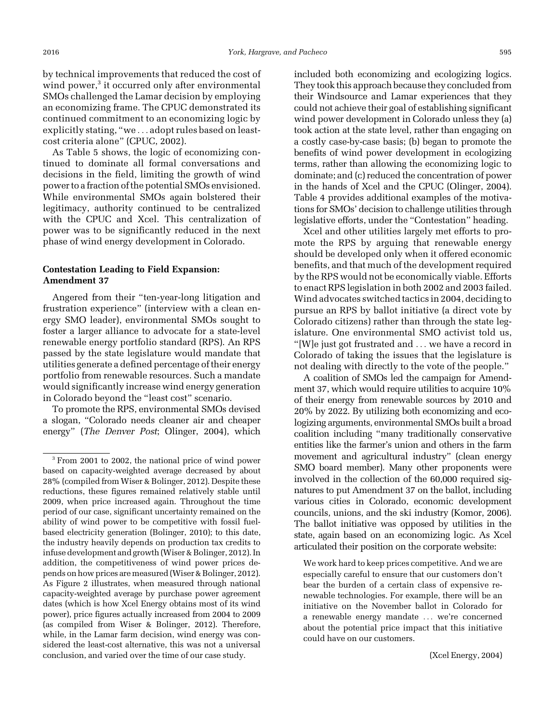by technical improvements that reduced the cost of wind power,<sup>3</sup> it occurred only after environmental SMOs challenged the Lamar decision by employing an economizing frame. The CPUC demonstrated its continued commitment to an economizing logic by explicitly stating, "we ... adopt rules based on leastcost criteria alone" ([CPUC, 2002\)](#page-26-0).

As [Table 5](#page-17-0) shows, the logic of economizing continued to dominate all formal conversations and decisions in the field, limiting the growth of wind power to a fraction of the potential SMOs envisioned. While environmental SMOs again bolstered their legitimacy, authority continued to be centralized with the CPUC and Xcel. This centralization of power was to be significantly reduced in the next phase of wind energy development in Colorado.

# Contestation Leading to Field Expansion: Amendment 37

Angered from their "ten-year-long litigation and frustration experience" (interview with a clean energy SMO leader), environmental SMOs sought to foster a larger alliance to advocate for a state-level renewable energy portfolio standard (RPS). An RPS passed by the state legislature would mandate that utilities generate a defined percentage of their energy portfolio from renewable resources. Such a mandate would significantly increase wind energy generation in Colorado beyond the "least cost" scenario.

To promote the RPS, environmental SMOs devised a slogan, "Colorado needs cleaner air and cheaper energy" (The Denver Post; [Olinger, 2004\)](#page-28-0), which

included both economizing and ecologizing logics. They took this approach because they concluded from their Windsource and Lamar experiences that they could not achieve their goal of establishing significant wind power development in Colorado unless they (a) took action at the state level, rather than engaging on a costly case-by-case basis; (b) began to promote the benefits of wind power development in ecologizing terms, rather than allowing the economizing logic to dominate; and (c) reduced the concentration of power in the hands of Xcel and the CPUC ([Olinger, 2004](#page-28-0)). [Table 4](#page-14-0) provides additional examples of the motivations for SMOs' decision to challenge utilities through legislative efforts, under the "Contestation" heading.

Xcel and other utilities largely met efforts to promote the RPS by arguing that renewable energy should be developed only when it offered economic benefits, and that much of the development required by the RPS would not be economically viable. Efforts to enact RPS legislation in both 2002 and 2003 failed. Wind advocates switched tactics in 2004, deciding to pursue an RPS by ballot initiative (a direct vote by Colorado citizens) rather than through the state legislature. One environmental SMO activist told us, "[W]e just got frustrated and ... we have a record in Colorado of taking the issues that the legislature is not dealing with directly to the vote of the people."

A coalition of SMOs led the campaign for Amendment 37, which would require utilities to acquire 10% of their energy from renewable sources by 2010 and 20% by 2022. By utilizing both economizing and ecologizing arguments, environmental SMOs built a broad coalition including "many traditionally conservative entities like the farmer's union and others in the farm movement and agricultural industry" (clean energy SMO board member). Many other proponents were involved in the collection of the 60,000 required signatures to put Amendment 37 on the ballot, including various cities in Colorado, economic development councils, unions, and the ski industry [\(Komor, 2006](#page-27-0)). The ballot initiative was opposed by utilities in the state, again based on an economizing logic. As Xcel articulated their position on the corporate website:

We work hard to keep prices competitive. And we are especially careful to ensure that our customers don't bear the burden of a certain class of expensive renewable technologies. For example, there will be an initiative on the November ballot in Colorado for a renewable energy mandate ... we're concerned about the potential price impact that this initiative could have on our customers.

<sup>3</sup> From 2001 to 2002, the national price of wind power based on capacity-weighted average decreased by about 28% (compiled from [Wiser & Bolinger, 2012\)](#page-30-0). Despite these reductions, these figures remained relatively stable until 2009, when price increased again. Throughout the time period of our case, significant uncertainty remained on the ability of wind power to be competitive with fossil fuelbased electricity generation [\(Bolinger, 2010](#page-25-0)); to this date, the industry heavily depends on production tax credits to infuse development and growth ([Wiser & Bolinger, 2012](#page-30-0)). In addition, the competitiveness of wind power prices depends on how prices aremeasured ([Wiser & Bolinger, 2012\)](#page-30-0). As [Figure 2](#page-13-0) illustrates, when measured through national capacity-weighted average by purchase power agreement dates (which is how Xcel Energy obtains most of its wind power), price figures actually increased from 2004 to 2009 (as compiled from [Wiser & Bolinger, 2012\)](#page-30-0). Therefore, while, in the Lamar farm decision, wind energy was considered the least-cost alternative, this was not a universal conclusion, and varied over the time of our case study.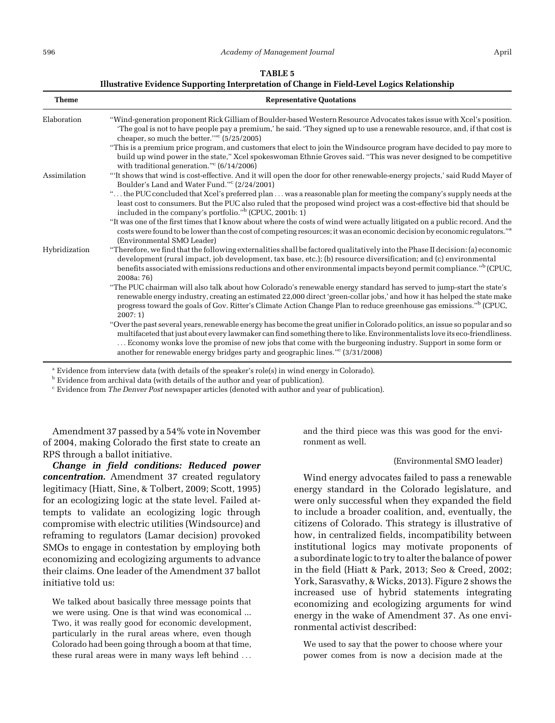#### <span id="page-17-0"></span>596 **Academy of Management Journal** April 2006 **April** April 2006 **April** 2006 **April**

# TABLE 5 Illustrative Evidence Supporting Interpretation of Change in Field-Level Logics Relationship

| <b>Theme</b>  | <b>Representative Quotations</b>                                                                                                                                                                                                                                                                                                                                                                                                                                       |
|---------------|------------------------------------------------------------------------------------------------------------------------------------------------------------------------------------------------------------------------------------------------------------------------------------------------------------------------------------------------------------------------------------------------------------------------------------------------------------------------|
| Elaboration   | "Wind-generation proponent Rick Gilliam of Boulder-based Western Resource Advocates takes issue with Xcel's position.<br>'The goal is not to have people pay a premium,' he said. 'They signed up to use a renewable resource, and, if that cost is<br>cheaper, so much the better." <sup>c</sup> $(5/25/2005)$<br>"This is a premium price program, and customers that elect to join the Windsource program have decided to pay more to                               |
|               | build up wind power in the state," Xcel spokeswoman Ethnie Groves said. "This was never designed to be competitive<br>with traditional generation." $(G/14/2006)$                                                                                                                                                                                                                                                                                                      |
| Assimilation  | "It shows that wind is cost-effective. And it will open the door for other renewable-energy projects,' said Rudd Mayer of<br>Boulder's Land and Water Fund." <sup>c</sup> (2/24/2001)                                                                                                                                                                                                                                                                                  |
|               | " the PUC concluded that Xcel's preferred plan  was a reasonable plan for meeting the company's supply needs at the<br>least cost to consumers. But the PUC also ruled that the proposed wind project was a cost-effective bid that should be<br>included in the company's portfolio." (CPUC, 2001b: 1)                                                                                                                                                                |
|               | "It was one of the first times that I know about where the costs of wind were actually litigated on a public record. And the<br>costs were found to be lower than the cost of competing resources; it was an economic decision by economic regulators." <sup>a</sup><br>(Environmental SMO Leader)                                                                                                                                                                     |
| Hybridization | "Therefore, we find that the following externalities shall be factored qualitatively into the Phase II decision: (a) economic<br>development (rural impact, job development, tax base, etc.); (b) resource diversification; and (c) environmental<br>benefits associated with emissions reductions and other environmental impacts beyond permit compliance."b (CPUC,<br>2008a: 76)                                                                                    |
|               | "The PUC chairman will also talk about how Colorado's renewable energy standard has served to jump-start the state's<br>renewable energy industry, creating an estimated 22,000 direct 'green-collar jobs,' and how it has helped the state make<br>progress toward the goals of Gov. Ritter's Climate Action Change Plan to reduce greenhouse gas emissions." <sup>b</sup> (CPUC,<br>2007:1                                                                           |
|               | "Over the past several years, renewable energy has become the great unifier in Colorado politics, an issue so popular and so<br>multifaceted that just about every lawmaker can find something there to like. Environmentalists love its eco-friendliness.<br>Economy wonks love the promise of new jobs that come with the burgeoning industry. Support in some form or<br>another for renewable energy bridges party and geographic lines." <sup>c</sup> (3/31/2008) |

<sup>a</sup> Evidence from interview data (with details of the speaker's role(s) in wind energy in Colorado).

 $^{\rm b}$  Evidence from archival data (with details of the author and year of publication).

 $c$  Evidence from The Denver Post newspaper articles (denoted with author and year of publication).

Amendment 37 passed by a 54% vote in November of 2004, making Colorado the first state to create an RPS through a ballot initiative.

Change in field conditions: Reduced power concentration. Amendment 37 created regulatory legitimacy ([Hiatt, Sine, & Tolbert, 2009;](#page-27-0) [Scott, 1995\)](#page-29-0) for an ecologizing logic at the state level. Failed attempts to validate an ecologizing logic through compromise with electric utilities (Windsource) and reframing to regulators (Lamar decision) provoked SMOs to engage in contestation by employing both economizing and ecologizing arguments to advance their claims. One leader of the Amendment 37 ballot initiative told us:

We talked about basically three message points that we were using. One is that wind was economical ... Two, it was really good for economic development, particularly in the rural areas where, even though Colorado had been going through a boom at that time, these rural areas were in many ways left behind ...

and the third piece was this was good for the environment as well.

### (Environmental SMO leader)

Wind energy advocates failed to pass a renewable energy standard in the Colorado legislature, and were only successful when they expanded the field to include a broader coalition, and, eventually, the citizens of Colorado. This strategy is illustrative of how, in centralized fields, incompatibility between institutional logics may motivate proponents of a subordinate logic to try to alter the balance of power in the field ([Hiatt & Park, 2013;](#page-27-0) [Seo & Creed, 2002](#page-29-0); [York, Sarasvathy, & Wicks, 2013](#page-30-0)). [Figure 2](#page-13-0) shows the increased use of hybrid statements integrating economizing and ecologizing arguments for wind energy in the wake of Amendment 37. As one environmental activist described:

We used to say that the power to choose where your power comes from is now a decision made at the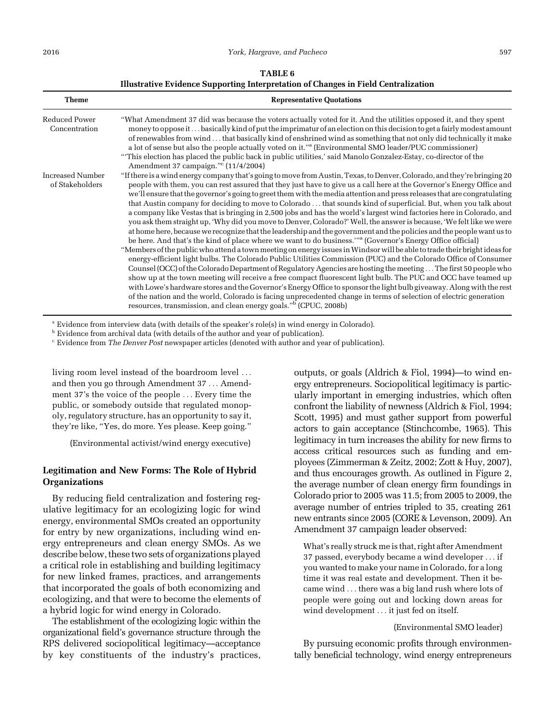TABLE 6 Illustrative Evidence Supporting Interpretation of Changes in Field Centralization

| <b>Theme</b>                               | <b>Representative Quotations</b>                                                                                                                                                                                                                                                                                                                                                                                                                                                                                                                                                                                                                                                                                                                                                                                                                                                                                                                                                                                                                                                                                                                                                                                                                                                                                                                                                                                                                                                                                                                                                                                                                                                                                                                                                                          |
|--------------------------------------------|-----------------------------------------------------------------------------------------------------------------------------------------------------------------------------------------------------------------------------------------------------------------------------------------------------------------------------------------------------------------------------------------------------------------------------------------------------------------------------------------------------------------------------------------------------------------------------------------------------------------------------------------------------------------------------------------------------------------------------------------------------------------------------------------------------------------------------------------------------------------------------------------------------------------------------------------------------------------------------------------------------------------------------------------------------------------------------------------------------------------------------------------------------------------------------------------------------------------------------------------------------------------------------------------------------------------------------------------------------------------------------------------------------------------------------------------------------------------------------------------------------------------------------------------------------------------------------------------------------------------------------------------------------------------------------------------------------------------------------------------------------------------------------------------------------------|
| Reduced Power<br>Concentration             | "What Amendment 37 did was because the voters actually voted for it. And the utilities opposed it, and they spent<br>money to oppose it basically kind of put the imprimatur of an election on this decision to get a fairly modest amount<br>of renewables from wind that basically kind of enshrined wind as something that not only did technically it make<br>a lot of sense but also the people actually voted on it." <sup>a</sup> (Environmental SMO leader/PUC commissioner)<br>"This election has placed the public back in public utilities,' said Manolo Gonzalez-Estay, co-director of the<br>Amendment 37 campaign." <sup>c</sup> (11/4/2004)                                                                                                                                                                                                                                                                                                                                                                                                                                                                                                                                                                                                                                                                                                                                                                                                                                                                                                                                                                                                                                                                                                                                                |
| <b>Increased Number</b><br>of Stakeholders | "If there is a wind energy company that's going to move from Austin, Texas, to Denver, Colorado, and they're bringing 20<br>people with them, you can rest assured that they just have to give us a call here at the Governor's Energy Office and<br>we'll ensure that the governor's going to greet them with the media attention and press releases that are congratulating<br>that Austin company for deciding to move to Colorado  that sounds kind of superficial. But, when you talk about<br>a company like Vestas that is bringing in 2,500 jobs and has the world's largest wind factories here in Colorado, and<br>you ask them straight up, 'Why did you move to Denver, Colorado?' Well, the answer is because, 'We felt like we were<br>at home here, because we recognize that the leadership and the government and the policies and the people want us to<br>be here. And that's the kind of place where we want to do business." <sup>3</sup> (Governor's Energy Office official)<br>"Members of the public who attend a town meeting on energy issues in Windsor will be able to trade their bright ideas for<br>energy-efficient light bulbs. The Colorado Public Utilities Commission (PUC) and the Colorado Office of Consumer<br>Counsel (OCC) of the Colorado Department of Regulatory Agencies are hosting the meeting The first 50 people who<br>show up at the town meeting will receive a free compact fluorescent light bulb. The PUC and OCC have teamed up<br>with Lowe's hardware stores and the Governor's Energy Office to sponsor the light bulb give away. Along with the rest<br>of the nation and the world, Colorado is facing unprecedented change in terms of selection of electric generation<br>resources, transmission, and clean energy goals." (CPUC, 2008b) |

<sup>a</sup> Evidence from interview data (with details of the speaker's role(s) in wind energy in Colorado).

 $^{\rm b}$  Evidence from archival data (with details of the author and year of publication).

<sup>c</sup> Evidence from The Denver Post newspaper articles (denoted with author and year of publication).

living room level instead of the boardroom level ... and then you go through Amendment 37 ... Amendment 37's the voice of the people ... Every time the public, or somebody outside that regulated monopoly, regulatory structure, has an opportunity to say it, they're like, "Yes, do more. Yes please. Keep going."

(Environmental activist/wind energy executive)

# Legitimation and New Forms: The Role of Hybrid **Organizations**

By reducing field centralization and fostering regulative legitimacy for an ecologizing logic for wind energy, environmental SMOs created an opportunity for entry by new organizations, including wind energy entrepreneurs and clean energy SMOs. As we describe below, these two sets of organizations played a critical role in establishing and building legitimacy for new linked frames, practices, and arrangements that incorporated the goals of both economizing and ecologizing, and that were to become the elements of a hybrid logic for wind energy in Colorado.

The establishment of the ecologizing logic within the organizational field's governance structure through the RPS delivered sociopolitical legitimacy—acceptance by key constituents of the industry's practices, outputs, or goals [\(Aldrich & Fiol, 1994\)](#page-25-0)—to wind energy entrepreneurs. Sociopolitical legitimacy is particularly important in emerging industries, which often confront the liability of newness [\(Aldrich & Fiol, 1994](#page-25-0); [Scott, 1995](#page-29-0)) and must gather support from powerful actors to gain acceptance [\(Stinchcombe, 1965\)](#page-29-0). This legitimacy in turn increases the ability for new firms to access critical resources such as funding and employees [\(Zimmerman & Zeitz, 2002](#page-30-0); [Zott & Huy, 2007](#page-30-0)), and thus encourages growth. As outlined in [Figure 2](#page-13-0), the average number of clean energy firm foundings in Colorado prior to 2005 was 11.5; from 2005 to 2009, the average number of entries tripled to 35, creating 261 new entrants since 2005 [\(CORE & Levenson, 2009](#page-26-0)). An Amendment 37 campaign leader observed:

What's really struck me is that, right after Amendment 37 passed, everybody became a wind developer ... if you wanted to make your name in Colorado, for a long time it was real estate and development. Then it became wind ... there was a big land rush where lots of people were going out and locking down areas for wind development ... it just fed on itself.

(Environmental SMO leader)

By pursuing economic profits through environmentally beneficial technology, wind energy entrepreneurs

<span id="page-18-0"></span>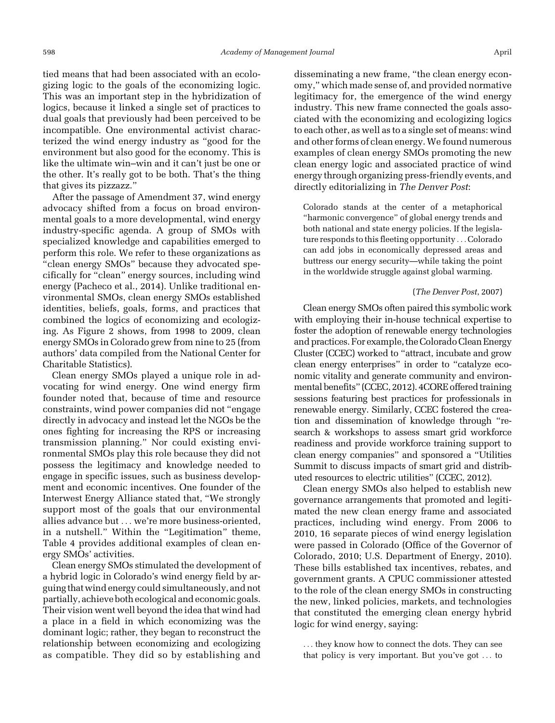tied means that had been associated with an ecologizing logic to the goals of the economizing logic. This was an important step in the hybridization of logics, because it linked a single set of practices to dual goals that previously had been perceived to be incompatible. One environmental activist characterized the wind energy industry as "good for the environment but also good for the economy. This is like the ultimate win–win and it can't just be one or the other. It's really got to be both. That's the thing that gives its pizzazz."

After the passage of Amendment 37, wind energy advocacy shifted from a focus on broad environmental goals to a more developmental, wind energy industry-specific agenda. A group of SMOs with specialized knowledge and capabilities emerged to perform this role. We refer to these organizations as "clean energy SMOs" because they advocated specifically for "clean" energy sources, including wind energy [\(Pacheco et al., 2014](#page-28-0)). Unlike traditional environmental SMOs, clean energy SMOs established identities, beliefs, goals, forms, and practices that combined the logics of economizing and ecologizing. As [Figure 2](#page-13-0) shows, from 1998 to 2009, clean energy SMOs in Colorado grew from nine to 25 (from authors' data compiled from the National Center for Charitable Statistics).

Clean energy SMOs played a unique role in advocating for wind energy. One wind energy firm founder noted that, because of time and resource constraints, wind power companies did not "engage directly in advocacy and instead let the NGOs be the ones fighting for increasing the RPS or increasing transmission planning." Nor could existing environmental SMOs play this role because they did not possess the legitimacy and knowledge needed to engage in specific issues, such as business development and economic incentives. One founder of the Interwest Energy Alliance stated that, "We strongly support most of the goals that our environmental allies advance but ... we're more business-oriented, in a nutshell." Within the "Legitimation" theme, [Table 4](#page-14-0) provides additional examples of clean energy SMOs' activities.

Clean energy SMOs stimulated the development of a hybrid logic in Colorado's wind energy field by arguing that wind energy could simultaneously, and not partially, achieve both ecological and economic goals. Their vision went well beyond the idea that wind had a place in a field in which economizing was the dominant logic; rather, they began to reconstruct the relationship between economizing and ecologizing as compatible. They did so by establishing and disseminating a new frame, "the clean energy economy," which made sense of, and provided normative legitimacy for, the emergence of the wind energy industry. This new frame connected the goals associated with the economizing and ecologizing logics to each other, as well as to a single set of means: wind and other forms of clean energy.We found numerous examples of clean energy SMOs promoting the new clean energy logic and associated practice of wind energy through organizing press-friendly events, and directly editorializing in The Denver Post:

Colorado stands at the center of a metaphorical "harmonic convergence" of global energy trends and both national and state energy policies. If the legislature responds to this fleeting opportunity ...Colorado can add jobs in economically depressed areas and buttress our energy security—while taking the point in the worldwide struggle against global warming.

### (The Denver Post, 2007)

Clean energy SMOs often paired this symbolic work with employing their in-house technical expertise to foster the adoption of renewable energy technologies and practices. For example, the Colorado Clean Energy Cluster (CCEC) worked to "attract, incubate and grow clean energy enterprises" in order to "catalyze economic vitality and generate community and environmental benefits" [\(CCEC, 2012](#page-26-0)). 4CORE offered training sessions featuring best practices for professionals in renewable energy. Similarly, CCEC fostered the creation and dissemination of knowledge through "research & workshops to assess smart grid workforce readiness and provide workforce training support to clean energy companies" and sponsored a "Utilities Summit to discuss impacts of smart grid and distributed resources to electric utilities" ([CCEC, 2012](#page-26-0)).

Clean energy SMOs also helped to establish new governance arrangements that promoted and legitimated the new clean energy frame and associated practices, including wind energy. From 2006 to 2010, 16 separate pieces of wind energy legislation were passed in Colorado [\(Office of the Governor of](#page-28-0) [Colorado, 2010](#page-28-0); [U.S. Department of Energy, 2010](#page-29-0)). These bills established tax incentives, rebates, and government grants. A CPUC commissioner attested to the role of the clean energy SMOs in constructing the new, linked policies, markets, and technologies that constituted the emerging clean energy hybrid logic for wind energy, saying:

... they know how to connect the dots. They can see that policy is very important. But you've got ... to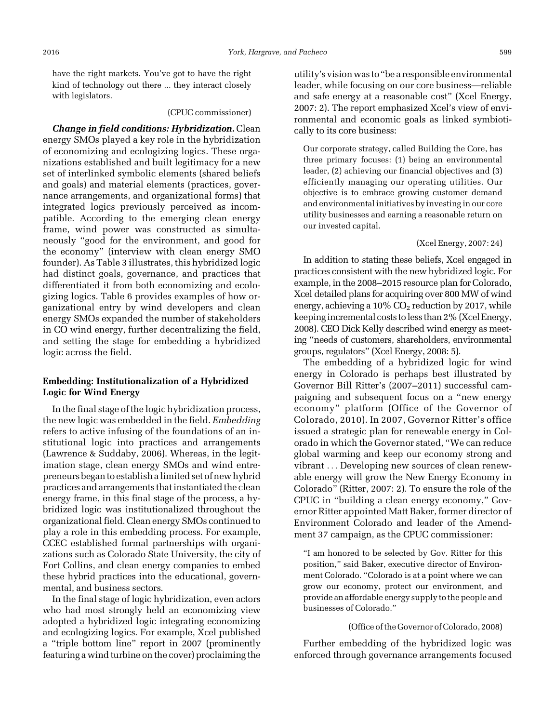have the right markets. You've got to have the right kind of technology out there ... they interact closely with legislators.

#### (CPUC commissioner)

Change in field conditions: Hybridization. Clean energy SMOs played a key role in the hybridization of economizing and ecologizing logics. These organizations established and built legitimacy for a new set of interlinked symbolic elements (shared beliefs and goals) and material elements (practices, governance arrangements, and organizational forms) that integrated logics previously perceived as incompatible. According to the emerging clean energy frame, wind power was constructed as simultaneously "good for the environment, and good for the economy" (interview with clean energy SMO founder). As [Table 3](#page-12-0) illustrates, this hybridized logic had distinct goals, governance, and practices that differentiated it from both economizing and ecologizing logics. [Table 6](#page-18-0) provides examples of how organizational entry by wind developers and clean energy SMOs expanded the number of stakeholders in CO wind energy, further decentralizing the field, and setting the stage for embedding a hybridized logic across the field.

# Embedding: Institutionalization of a Hybridized Logic for Wind Energy

In the final stage of the logic hybridization process, the new logic was embedded in the field. Embedding refers to active infusing of the foundations of an institutional logic into practices and arrangements [\(Lawrence & Suddaby, 2006](#page-27-0)). Whereas, in the legitimation stage, clean energy SMOs and wind entrepreneurs began to establish a limited set of new hybrid practices and arrangements that instantiated the clean energy frame, in this final stage of the process, a hybridized logic was institutionalized throughout the organizational field. Clean energy SMOs continued to play a role in this embedding process. For example, CCEC established formal partnerships with organizations such as Colorado State University, the city of Fort Collins, and clean energy companies to embed these hybrid practices into the educational, governmental, and business sectors.

In the final stage of logic hybridization, even actors who had most strongly held an economizing view adopted a hybridized logic integrating economizing and ecologizing logics. For example, Xcel published a "triple bottom line" report in 2007 (prominently featuring a wind turbine on the cover) proclaiming the utility's visionwas to"be a responsible environmental leader, while focusing on our core business—reliable and safe energy at a reasonable cost" [\(Xcel Energy,](#page-30-0) [2007](#page-30-0): 2). The report emphasized Xcel's view of environmental and economic goals as linked symbiotically to its core business:

Our corporate strategy, called Building the Core, has three primary focuses: (1) being an environmental leader, (2) achieving our financial objectives and (3) efficiently managing our operating utilities. Our objective is to embrace growing customer demand and environmental initiatives by investing in our core utility businesses and earning a reasonable return on our invested capital.

#### [\(Xcel Energy, 2007](#page-30-0): 24)

In addition to stating these beliefs, Xcel engaged in practices consistent with the new hybridized logic. For example, in the 2008–2015 resource plan for Colorado, Xcel detailed plans for acquiring over 800 MW of wind energy, achieving a  $10\%$  CO<sub>2</sub> reduction by 2017, while keeping incremental costs to less than 2% [\(Xcel Energy,](#page-30-0) [2008\)](#page-30-0). CEO Dick Kelly described wind energy as meeting "needs of customers, shareholders, environmental groups, regulators" [\(Xcel Energy, 2008](#page-30-0): 5).

The embedding of a hybridized logic for wind energy in Colorado is perhaps best illustrated by Governor Bill Ritter'[s \(2007](#page-28-0)–2011) successful campaigning and subsequent focus on a "new energy economy" platform [\(Office of the Governor of](#page-28-0) [Colorado, 2010\)](#page-28-0). In 2007, Governor Ritter's office issued a strategic plan for renewable energy in Colorado in which the Governor stated, "We can reduce global warming and keep our economy strong and vibrant ... Developing new sources of clean renewable energy will grow the New Energy Economy in Colorado" ([Ritter, 2007](#page-28-0): 2). To ensure the role of the CPUC in "building a clean energy economy," Governor Ritter appointed Matt Baker, former director of Environment Colorado and leader of the Amendment 37 campaign, as the CPUC commissioner:

"I am honored to be selected by Gov. Ritter for this position," said Baker, executive director of Environment Colorado. "Colorado is at a point where we can grow our economy, protect our environment, and provide an affordable energy supply to the people and businesses of Colorado."

### [\(Office of the Governor of Colorado, 2008](#page-28-0))

Further embedding of the hybridized logic was enforced through governance arrangements focused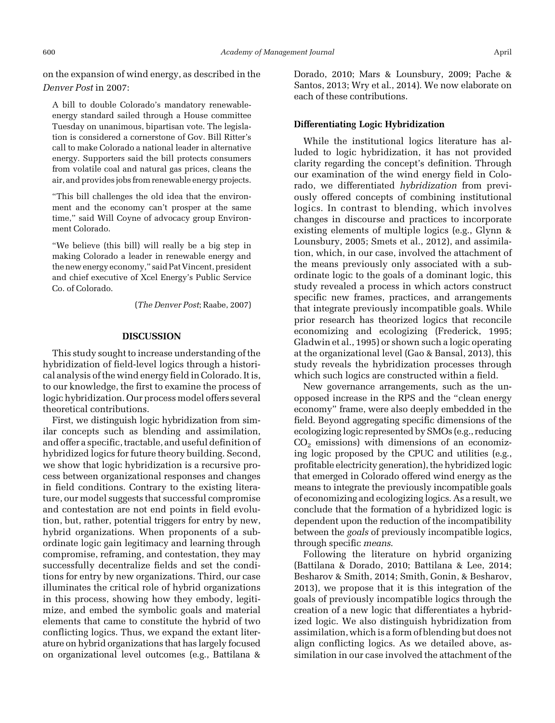on the expansion of wind energy, as described in the Denver Post in 2007:

A bill to double Colorado's mandatory renewableenergy standard sailed through a House committee Tuesday on unanimous, bipartisan vote. The legislation is considered a cornerstone of Gov. Bill Ritter's call to make Colorado a national leader in alternative energy. Supporters said the bill protects consumers from volatile coal and natural gas prices, cleans the air, and provides jobs from renewable energy projects.

"This bill challenges the old idea that the environment and the economy can't prosper at the same time," said Will Coyne of advocacy group Environment Colorado.

"We believe (this bill) will really be a big step in making Colorado a leader in renewable energy and the new energy economy," said Pat Vincent, president and chief executive of Xcel Energy's Public Service Co. of Colorado.

(The Denver Post; [Raabe, 2007](#page-28-0))

# **DISCUSSION**

This study sought to increase understanding of the hybridization of field-level logics through a historical analysis of the wind energy field in Colorado. It is, to our knowledge, the first to examine the process of logic hybridization. Our process model offers several theoretical contributions.

First, we distinguish logic hybridization from similar concepts such as blending and assimilation, and offer a specific, tractable, and useful definition of hybridized logics for future theory building. Second, we show that logic hybridization is a recursive process between organizational responses and changes in field conditions. Contrary to the existing literature, our model suggests that successful compromise and contestation are not end points in field evolution, but, rather, potential triggers for entry by new, hybrid organizations. When proponents of a subordinate logic gain legitimacy and learning through compromise, reframing, and contestation, they may successfully decentralize fields and set the conditions for entry by new organizations. Third, our case illuminates the critical role of hybrid organizations in this process, showing how they embody, legitimize, and embed the symbolic goals and material elements that came to constitute the hybrid of two conflicting logics. Thus, we expand the extant literature on hybrid organizations that has largely focused on organizational level outcomes (e.g., [Battilana &](#page-25-0)

[Dorado, 2010](#page-25-0); [Mars & Lounsbury, 2009; Pache &](#page-28-0) [Santos, 2013](#page-28-0); [Wry et al., 2014](#page-30-0)). We now elaborate on each of these contributions.

### Differentiating Logic Hybridization

While the institutional logics literature has alluded to logic hybridization, it has not provided clarity regarding the concept's definition. Through our examination of the wind energy field in Colorado, we differentiated hybridization from previously offered concepts of combining institutional logics. In contrast to blending, which involves changes in discourse and practices to incorporate existing elements of multiple logics (e.g., [Glynn &](#page-26-0) [Lounsbury, 2005;](#page-26-0) [Smets et al., 2012](#page-29-0)), and assimilation, which, in our case, involved the attachment of the means previously only associated with a subordinate logic to the goals of a dominant logic, this study revealed a process in which actors construct specific new frames, practices, and arrangements that integrate previously incompatible goals. While prior research has theorized logics that reconcile economizing and ecologizing [\(Frederick, 1995](#page-26-0); [Gladwin et al., 1995](#page-26-0)) or shown such a logic operating at the organizational level ([Gao & Bansal, 2013\)](#page-26-0), this study reveals the hybridization processes through which such logics are constructed within a field.

New governance arrangements, such as the unopposed increase in the RPS and the "clean energy economy" frame, were also deeply embedded in the field. Beyond aggregating specific dimensions of the ecologizing logic represented by SMOs (e.g., reducing  $CO<sub>2</sub>$  emissions) with dimensions of an economizing logic proposed by the CPUC and utilities (e.g., profitable electricity generation), the hybridized logic that emerged in Colorado offered wind energy as the means to integrate the previously incompatible goals of economizing and ecologizing logics. As a result, we conclude that the formation of a hybridized logic is dependent upon the reduction of the incompatibility between the *goals* of previously incompatible logics, through specific *means*.

Following the literature on hybrid organizing [\(Battilana & Dorado, 2010; Battilana & Lee, 2014](#page-25-0); [Besharov & Smith, 2014](#page-25-0); [Smith, Gonin, & Besharov,](#page-29-0) [2013\)](#page-29-0), we propose that it is this integration of the goals of previously incompatible logics through the creation of a new logic that differentiates a hybridized logic. We also distinguish hybridization from assimilation, which is a form of blending but does not align conflicting logics. As we detailed above, assimilation in our case involved the attachment of the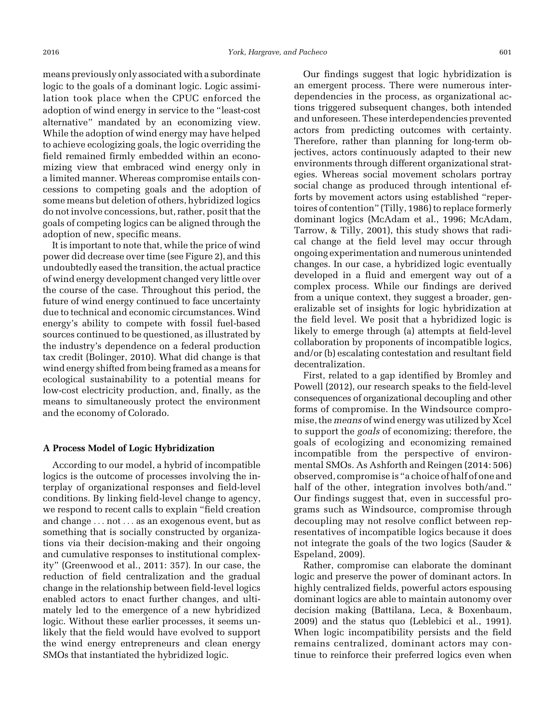means previously only associated with a subordinate logic to the goals of a dominant logic. Logic assimilation took place when the CPUC enforced the adoption of wind energy in service to the "least-cost alternative" mandated by an economizing view. While the adoption of wind energy may have helped to achieve ecologizing goals, the logic overriding the field remained firmly embedded within an economizing view that embraced wind energy only in a limited manner. Whereas compromise entails concessions to competing goals and the adoption of some means but deletion of others, hybridized logics do not involve concessions, but, rather, posit that the goals of competing logics can be aligned through the adoption of new, specific means.

It is important to note that, while the price of wind power did decrease over time (see [Figure 2](#page-13-0)), and this undoubtedly eased the transition, the actual practice of wind energy development changed very little over the course of the case. Throughout this period, the future of wind energy continued to face uncertainty due to technical and economic circumstances. Wind energy's ability to compete with fossil fuel-based sources continued to be questioned, as illustrated by the industry's dependence on a federal production tax credit [\(Bolinger, 2010](#page-25-0)). What did change is that wind energy shifted from being framed as a means for ecological sustainability to a potential means for low-cost electricity production, and, finally, as the means to simultaneously protect the environment and the economy of Colorado.

### A Process Model of Logic Hybridization

According to our model, a hybrid of incompatible logics is the outcome of processes involving the interplay of organizational responses and field-level conditions. By linking field-level change to agency, we respond to recent calls to explain "field creation and change ... not ... as an exogenous event, but as something that is socially constructed by organizations via their decision-making and their ongoing and cumulative responses to institutional complexity" ([Greenwood et al., 2011:](#page-27-0) 357). In our case, the reduction of field centralization and the gradual change in the relationship between field-level logics enabled actors to enact further changes, and ultimately led to the emergence of a new hybridized logic. Without these earlier processes, it seems unlikely that the field would have evolved to support the wind energy entrepreneurs and clean energy SMOs that instantiated the hybridized logic.

Our findings suggest that logic hybridization is an emergent process. There were numerous interdependencies in the process, as organizational actions triggered subsequent changes, both intended and unforeseen. These interdependencies prevented actors from predicting outcomes with certainty. Therefore, rather than planning for long-term objectives, actors continuously adapted to their new environments through different organizational strategies. Whereas social movement scholars portray social change as produced through intentional efforts by movement actors using established "repertoires of contention" ([Tilly, 1986\)](#page-29-0) to replace formerly dominant logics [\(McAdam et al., 1996](#page-28-0); [McAdam,](#page-28-0) [Tarrow, & Tilly, 2001\)](#page-28-0), this study shows that radical change at the field level may occur through ongoing experimentation and numerous unintended changes. In our case, a hybridized logic eventually developed in a fluid and emergent way out of a complex process. While our findings are derived from a unique context, they suggest a broader, generalizable set of insights for logic hybridization at the field level. We posit that a hybridized logic is likely to emerge through (a) attempts at field-level collaboration by proponents of incompatible logics, and/or (b) escalating contestation and resultant field decentralization.

First, related to a gap identified by [Bromley and](#page-26-0) [Powell \(2012\)](#page-26-0), our research speaks to the field-level consequences of organizational decoupling and other forms of compromise. In the Windsource compromise, the means of wind energy was utilized by Xcel to support the goals of economizing; therefore, the goals of ecologizing and economizing remained incompatible from the perspective of environmental SMOs. As [Ashforth and Reingen \(2014](#page-25-0): 506) observed, compromise is "a choice of half of one and half of the other, integration involves both/and." Our findings suggest that, even in successful programs such as Windsource, compromise through decoupling may not resolve conflict between representatives of incompatible logics because it does not integrate the goals of the two logics ([Sauder &](#page-28-0) [Espeland, 2009](#page-28-0)).

Rather, compromise can elaborate the dominant logic and preserve the power of dominant actors. In highly centralized fields, powerful actors espousing dominant logics are able to maintain autonomy over decision making [\(Battilana, Leca, & Boxenbaum,](#page-25-0) [2009\)](#page-25-0) and the status quo [\(Leblebici et al., 1991](#page-27-0)). When logic incompatibility persists and the field remains centralized, dominant actors may continue to reinforce their preferred logics even when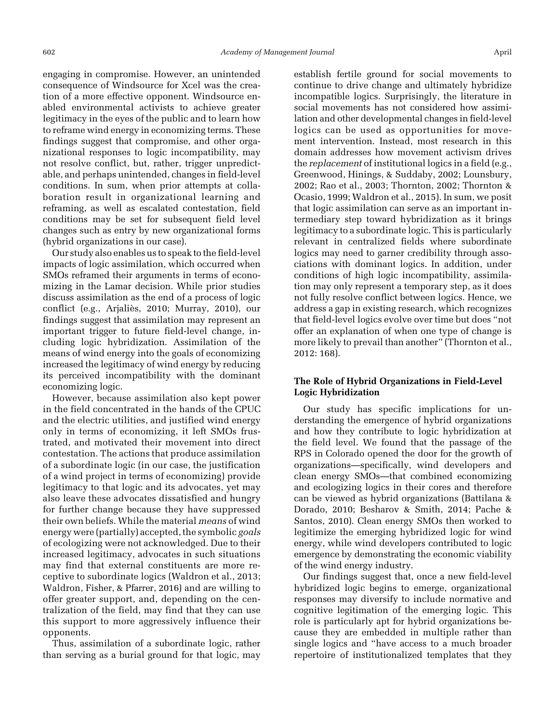engaging in compromise. However, an unintended consequence of Windsource for Xcel was the creation of a more effective opponent. Windsource enabled environmental activists to achieve greater legitimacy in the eyes of the public and to learn how to reframe wind energy in economizing terms. These findings suggest that compromise, and other organizational responses to logic incompatibility, may not resolve conflict, but, rather, trigger unpredictable, and perhaps unintended, changes in field-level conditions. In sum, when prior attempts at collaboration result in organizational learning and reframing, as well as escalated contestation, field conditions may be set for subsequent field level changes such as entry by new organizational forms (hybrid organizations in our case).

Our study also enables us to speak to the field-level impacts of logic assimilation, which occurred when SMOs reframed their arguments in terms of economizing in the Lamar decision. While prior studies discuss assimilation as the end of a process of logic conflict (e.g., Arjaliès, 2010; [Murray, 2010\)](#page-28-0), our findings suggest that assimilation may represent an important trigger to future field-level change, including logic hybridization. Assimilation of the means of wind energy into the goals of economizing increased the legitimacy of wind energy by reducing its perceived incompatibility with the dominant economizing logic.

However, because assimilation also kept power in the field concentrated in the hands of the CPUC and the electric utilities, and justified wind energy only in terms of economizing, it left SMOs frustrated, and motivated their movement into direct contestation. The actions that produce assimilation of a subordinate logic (in our case, the justification of a wind project in terms of economizing) provide legitimacy to that logic and its advocates, yet may also leave these advocates dissatisfied and hungry for further change because they have suppressed their own beliefs. While the material means of wind energy were (partially) accepted, the symbolic goals of ecologizing were not acknowledged. Due to their increased legitimacy, advocates in such situations may find that external constituents are more receptive to subordinate logics ([Waldron et al., 2013](#page-29-0); [Waldron, Fisher, & Pfarrer, 2016\)](#page-29-0) and are willing to offer greater support, and, depending on the centralization of the field, may find that they can use this support to more aggressively influence their opponents.

Thus, assimilation of a subordinate logic, rather than serving as a burial ground for that logic, may establish fertile ground for social movements to continue to drive change and ultimately hybridize incompatible logics. Surprisingly, the literature in social movements has not considered how assimilation and other developmental changes in field-level logics can be used as opportunities for movement intervention. Instead, most research in this domain addresses how movement activism drives the replacement of institutional logics in a field (e.g., [Greenwood, Hinings, & Suddaby, 2002;](#page-26-0) [Lounsbury,](#page-27-0) [2002;](#page-27-0) [Rao et al., 2003](#page-28-0); [Thornton, 2002; Thornton &](#page-29-0) [Ocasio, 1999; Waldron et al., 2015\)](#page-29-0). In sum, we posit that logic assimilation can serve as an important intermediary step toward hybridization as it brings legitimacy to a subordinate logic. This is particularly relevant in centralized fields where subordinate logics may need to garner credibility through associations with dominant logics. In addition, under conditions of high logic incompatibility, assimilation may only represent a temporary step, as it does not fully resolve conflict between logics. Hence, we address a gap in existing research, which recognizes that field-level logics evolve over time but does "not offer an explanation of when one type of change is more likely to prevail than another" [\(Thornton et al.,](#page-29-0) [2012:](#page-29-0) 168).

# The Role of Hybrid Organizations in Field-Level Logic Hybridization

Our study has specific implications for understanding the emergence of hybrid organizations and how they contribute to logic hybridization at the field level. We found that the passage of the RPS in Colorado opened the door for the growth of organizations—specifically, wind developers and clean energy SMOs—that combined economizing and ecologizing logics in their cores and therefore can be viewed as hybrid organizations ([Battilana &](#page-25-0) [Dorado, 2010; Besharov & Smith, 2014;](#page-25-0) [Pache &](#page-28-0) [Santos, 2010](#page-28-0)). Clean energy SMOs then worked to legitimize the emerging hybridized logic for wind energy, while wind developers contributed to logic emergence by demonstrating the economic viability of the wind energy industry.

Our findings suggest that, once a new field-level hybridized logic begins to emerge, organizational responses may diversify to include normative and cognitive legitimation of the emerging logic. This role is particularly apt for hybrid organizations because they are embedded in multiple rather than single logics and "have access to a much broader repertoire of institutionalized templates that they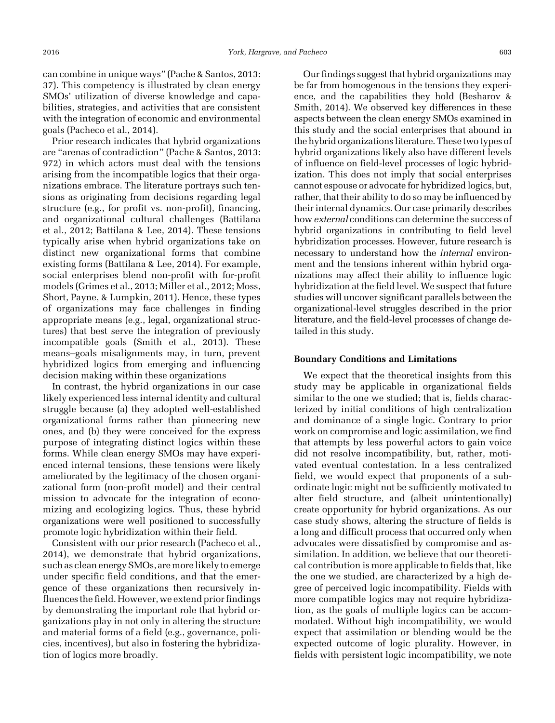can combine in unique ways" [\(Pache & Santos, 2013](#page-28-0): 37). This competency is illustrated by clean energy SMOs' utilization of diverse knowledge and capabilities, strategies, and activities that are consistent with the integration of economic and environmental goals ([Pacheco et al., 2014\)](#page-28-0).

Prior research indicates that hybrid organizations are "arenas of contradiction" ([Pache & Santos, 2013](#page-28-0): 972) in which actors must deal with the tensions arising from the incompatible logics that their organizations embrace. The literature portrays such tensions as originating from decisions regarding legal structure (e.g., for profit vs. non-profit), financing, and organizational cultural challenges ([Battilana](#page-25-0) [et al., 2012; Battilana & Lee, 2014](#page-25-0)). These tensions typically arise when hybrid organizations take on distinct new organizational forms that combine existing forms ([Battilana & Lee, 2014](#page-25-0)). For example, social enterprises blend non-profit with for-profit models [\(Grimes et al., 2013;](#page-27-0) [Miller et al., 2012](#page-28-0); [Moss,](#page-28-0) [Short, Payne, & Lumpkin, 2011\)](#page-28-0). Hence, these types of organizations may face challenges in finding appropriate means (e.g., legal, organizational structures) that best serve the integration of previously incompatible goals [\(Smith et al., 2013\)](#page-29-0). These means–goals misalignments may, in turn, prevent hybridized logics from emerging and influencing decision making within these organizations

In contrast, the hybrid organizations in our case likely experienced less internal identity and cultural struggle because (a) they adopted well-established organizational forms rather than pioneering new ones, and (b) they were conceived for the express purpose of integrating distinct logics within these forms. While clean energy SMOs may have experienced internal tensions, these tensions were likely ameliorated by the legitimacy of the chosen organizational form (non-profit model) and their central mission to advocate for the integration of economizing and ecologizing logics. Thus, these hybrid organizations were well positioned to successfully promote logic hybridization within their field.

Consistent with our prior research [\(Pacheco et al.,](#page-28-0) [2014\)](#page-28-0), we demonstrate that hybrid organizations, such as clean energy SMOs, are more likely to emerge under specific field conditions, and that the emergence of these organizations then recursively influences the field. However, we extend prior findings by demonstrating the important role that hybrid organizations play in not only in altering the structure and material forms of a field (e.g., governance, policies, incentives), but also in fostering the hybridization of logics more broadly.

Our findings suggest that hybrid organizations may be far from homogenous in the tensions they experience, and the capabilities they hold ([Besharov &](#page-25-0) [Smith, 2014\)](#page-25-0). We observed key differences in these aspects between the clean energy SMOs examined in this study and the social enterprises that abound in the hybrid organizations literature. These two types of hybrid organizations likely also have different levels of influence on field-level processes of logic hybridization. This does not imply that social enterprises cannot espouse or advocate for hybridized logics, but, rather, that their ability to do so may be influenced by their internal dynamics. Our case primarily describes how external conditions can determine the success of hybrid organizations in contributing to field level hybridization processes. However, future research is necessary to understand how the *internal* environment and the tensions inherent within hybrid organizations may affect their ability to influence logic hybridization at the field level. We suspect that future studies will uncover significant parallels between the organizational-level struggles described in the prior literature, and the field-level processes of change detailed in this study.

### Boundary Conditions and Limitations

We expect that the theoretical insights from this study may be applicable in organizational fields similar to the one we studied; that is, fields characterized by initial conditions of high centralization and dominance of a single logic. Contrary to prior work on compromise and logic assimilation, we find that attempts by less powerful actors to gain voice did not resolve incompatibility, but, rather, motivated eventual contestation. In a less centralized field, we would expect that proponents of a subordinate logic might not be sufficiently motivated to alter field structure, and (albeit unintentionally) create opportunity for hybrid organizations. As our case study shows, altering the structure of fields is a long and difficult process that occurred only when advocates were dissatisfied by compromise and assimilation. In addition, we believe that our theoretical contribution is more applicable to fields that, like the one we studied, are characterized by a high degree of perceived logic incompatibility. Fields with more compatible logics may not require hybridization, as the goals of multiple logics can be accommodated. Without high incompatibility, we would expect that assimilation or blending would be the expected outcome of logic plurality. However, in fields with persistent logic incompatibility, we note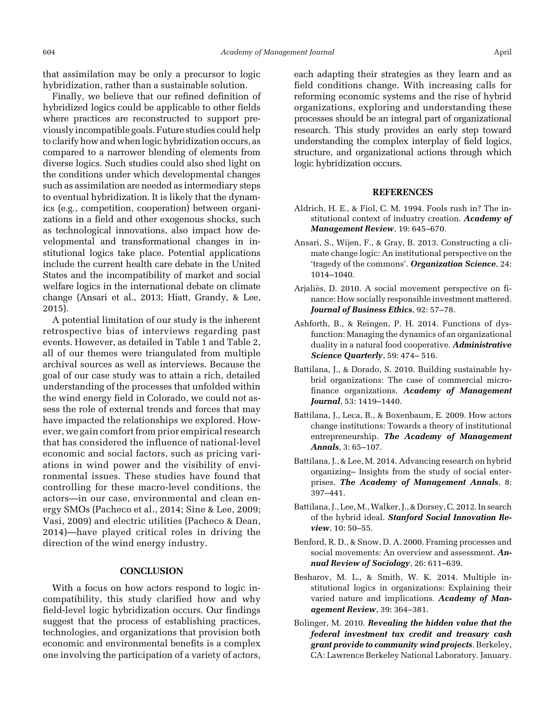<span id="page-25-0"></span>that assimilation may be only a precursor to logic hybridization, rather than a sustainable solution.

Finally, we believe that our refined definition of hybridized logics could be applicable to other fields where practices are reconstructed to support previously incompatible goals. Future studies could help to clarify how and when logic hybridization occurs, as compared to a narrower blending of elements from diverse logics. Such studies could also shed light on the conditions under which developmental changes such as assimilation are needed as intermediary steps to eventual hybridization. It is likely that the dynamics (e.g., competition, cooperation) between organizations in a field and other exogenous shocks, such as technological innovations, also impact how developmental and transformational changes in institutional logics take place. Potential applications include the current health care debate in the United States and the incompatibility of market and social welfare logics in the international debate on climate change (Ansari et al., 2013; [Hiatt, Grandy, & Lee,](#page-27-0) [2015\)](#page-27-0).

A potential limitation of our study is the inherent retrospective bias of interviews regarding past events. However, as detailed in [Table 1](#page-6-0) and [Table 2](#page-8-0), all of our themes were triangulated from multiple archival sources as well as interviews. Because the goal of our case study was to attain a rich, detailed understanding of the processes that unfolded within the wind energy field in Colorado, we could not assess the role of external trends and forces that may have impacted the relationships we explored. However, we gain comfort from prior empirical research that has considered the influence of national-level economic and social factors, such as pricing variations in wind power and the visibility of environmental issues. These studies have found that controlling for these macro-level conditions, the actors—in our case, environmental and clean energy SMOs [\(Pacheco et al., 2014;](#page-28-0) [Sine & Lee, 2009](#page-29-0); [Vasi, 2009\)](#page-29-0) and electric utilities [\(Pacheco & Dean,](#page-28-0) [2014\)](#page-28-0)—have played critical roles in driving the direction of the wind energy industry.

### **CONCLUSION**

With a focus on how actors respond to logic incompatibility, this study clarified how and why field-level logic hybridization occurs. Our findings suggest that the process of establishing practices, technologies, and organizations that provision both economic and environmental benefits is a complex one involving the participation of a variety of actors, each adapting their strategies as they learn and as field conditions change. With increasing calls for reforming economic systems and the rise of hybrid organizations, exploring and understanding these processes should be an integral part of organizational research. This study provides an early step toward understanding the complex interplay of field logics, structure, and organizational actions through which logic hybridization occurs.

### REFERENCES

- Aldrich, H. E., & Fiol, C. M. 1994. Fools rush in? The institutional context of industry creation. Academy of Management Review, 19: 645–670.
- Ansari, S., Wijen, F., & Gray, B. 2013. Constructing a climate change logic: An institutional perspective on the 'tragedy of the commons'. Organization Science, 24: 1014–1040.
- Arjaliès, D. 2010. A social movement perspective on finance: How socially responsible investment mattered. Journal of Business Ethics, 92: 57–78.
- Ashforth, B., & Reingen, P. H. 2014. Functions of dysfunction: Managing the dynamics of an organizational duality in a natural food cooperative. Administrative Science Quarterly, 59: 474-516.
- Battilana, J., & Dorado, S. 2010. Building sustainable hybrid organizations: The case of commercial microfinance organizations. Academy of Management Journal, 53: 1419–1440.
- Battilana, J., Leca, B., & Boxenbaum, E. 2009. How actors change institutions: Towards a theory of institutional entrepreneurship. The Academy of Management Annals, 3: 65–107.
- Battilana, J., & Lee, M. 2014. Advancing research on hybrid organizing– Insights from the study of social enterprises. The Academy of Management Annals, 8: 397–441.
- Battilana, J., Lee,M.,Walker, J., & Dorsey, C. 2012. In search of the hybrid ideal. Stanford Social Innovation Review, 10: 50–55.
- Benford, R. D., & Snow, D. A. 2000. Framing processes and social movements: An overview and assessment. Annual Review of Sociology, 26: 611–639.
- Besharov, M. L., & Smith, W. K. 2014. Multiple institutional logics in organizations: Explaining their varied nature and implications. Academy of Management Review, 39: 364–381.
- Bolinger, M. 2010. Revealing the hidden value that the federal investment tax credit and treasury cash grant provide to community wind projects. Berkeley, CA: Lawrence Berkeley National Laboratory. January.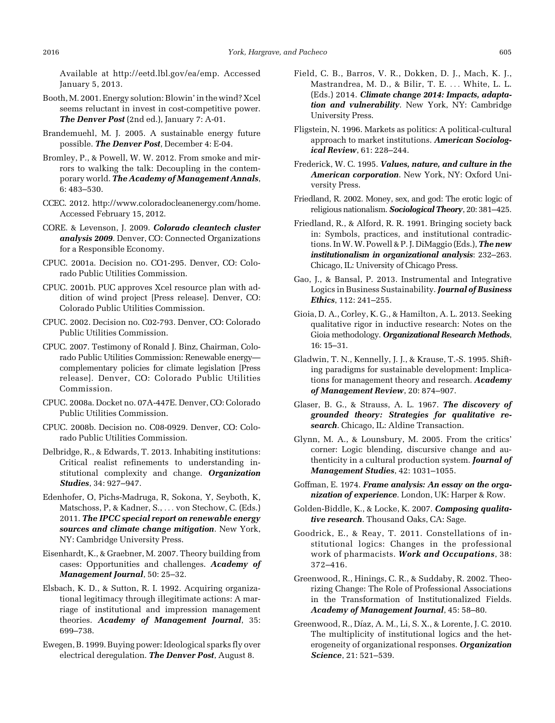<span id="page-26-0"></span>Available at [http://eetd.lbl.gov/ea/emp.](http://eetd.lbl.gov/ea/emp) Accessed January 5, 2013.

- Booth, M. 2001. Energy solution: Blowin' in the wind? Xcel seems reluctant in invest in cost-competitive power. The Denver Post (2nd ed.), January 7: A-01.
- Brandemuehl, M. J. 2005. A sustainable energy future possible. The Denver Post, December 4: E-04.
- Bromley, P., & Powell, W. W. 2012. From smoke and mirrors to walking the talk: Decoupling in the contemporary world. The Academy of Management Annals, 6: 483–530.
- CCEC. 2012. [http://www.coloradocleanenergy.com/home.](http://www.coloradocleanenergy.com/home) Accessed February 15, 2012.
- CORE. & Levenson, J. 2009. Colorado cleantech cluster analysis 2009. Denver, CO: Connected Organizations for a Responsible Economy.
- CPUC. 2001a. Decision no. CO1-295. Denver, CO: Colorado Public Utilities Commission.
- CPUC. 2001b. PUC approves Xcel resource plan with addition of wind project [Press release]. Denver, CO: Colorado Public Utilities Commission.
- CPUC. 2002. Decision no. C02-793. Denver, CO: Colorado Public Utilities Commission.
- CPUC. 2007. Testimony of Ronald J. Binz, Chairman, Colorado Public Utilities Commission: Renewable energy complementary policies for climate legislation [Press release]. Denver, CO: Colorado Public Utilities Commission.
- CPUC. 2008a. Docket no. 07A-447E. Denver, CO: Colorado Public Utilities Commission.
- CPUC. 2008b. Decision no. C08-0929. Denver, CO: Colorado Public Utilities Commission.
- Delbridge, R., & Edwards, T. 2013. Inhabiting institutions: Critical realist refinements to understanding institutional complexity and change. Organization Studies, 34: 927–947.
- Edenhofer, O, Pichs-Madruga, R, Sokona, Y, Seyboth, K, Matschoss, P, & Kadner, S., ... von Stechow, C. (Eds.) 2011. The IPCC special report on renewable energy sources and climate change mitigation. New York, NY: Cambridge University Press.
- Eisenhardt, K., & Graebner, M. 2007. Theory building from cases: Opportunities and challenges. Academy of Management Journal, 50: 25–32.
- Elsbach, K. D., & Sutton, R. I. 1992. Acquiring organizational legitimacy through illegitimate actions: A marriage of institutional and impression management theories. Academy of Management Journal, 35: 699–738.
- Ewegen, B. 1999. Buying power: Ideological sparks fly over electrical deregulation. The Denver Post, August 8.
- Field, C. B., Barros, V. R., Dokken, D. J., Mach, K. J., Mastrandrea, M. D., & Bilir, T. E. ... White, L. L. (Eds.) 2014. Climate change 2014: Impacts, adaptation and vulnerability. New York, NY: Cambridge University Press.
- Fligstein, N. 1996. Markets as politics: A political-cultural approach to market institutions. American Sociological Review, 61: 228–244.
- Frederick, W. C. 1995. Values, nature, and culture in the American corporation. New York, NY: Oxford University Press.
- Friedland, R. 2002. Money, sex, and god: The erotic logic of religious nationalism. Sociological Theory, 20: 381–425.
- Friedland, R., & Alford, R. R. 1991. Bringing society back in: Symbols, practices, and institutional contradictions. In W.W. Powell & P.J. DiMaggio (Eds.), The new institutionalism in organizational analysis: 232–263. Chicago, IL: University of Chicago Press.
- Gao, J., & Bansal, P. 2013. Instrumental and Integrative Logics in Business Sustainability. Journal of Business Ethics, 112: 241–255.
- Gioia, D. A., Corley, K. G., & Hamilton, A. L. 2013. Seeking qualitative rigor in inductive research: Notes on the Gioia methodology. Organizational Research Methods, 16: 15–31.
- Gladwin, T. N., Kennelly, J. J., & Krause, T.-S. 1995. Shifting paradigms for sustainable development: Implications for management theory and research. Academy of Management Review, 20: 874–907.
- Glaser, B. G., & Strauss, A. L. 1967. The discovery of grounded theory: Strategies for qualitative research. Chicago, IL: Aldine Transaction.
- Glynn, M. A., & Lounsbury, M. 2005. From the critics' corner: Logic blending, discursive change and authenticity in a cultural production system. Journal of Management Studies, 42: 1031–1055.
- Goffman, E. 1974. Frame analysis: An essay on the organization of experience. London, UK: Harper & Row.
- Golden-Biddle, K., & Locke, K. 2007. Composing qualitative research. Thousand Oaks, CA: Sage.
- Goodrick, E., & Reay, T. 2011. Constellations of institutional logics: Changes in the professional work of pharmacists. Work and Occupations, 38: 372–416.
- Greenwood, R., Hinings, C. R., & Suddaby, R. 2002. Theorizing Change: The Role of Professional Associations in the Transformation of Institutionalized Fields. Academy of Management Journal, 45: 58–80.
- Greenwood, R., Díaz, A. M., Li, S. X., & Lorente, J. C. 2010. The multiplicity of institutional logics and the heterogeneity of organizational responses. Organization Science, 21: 521–539.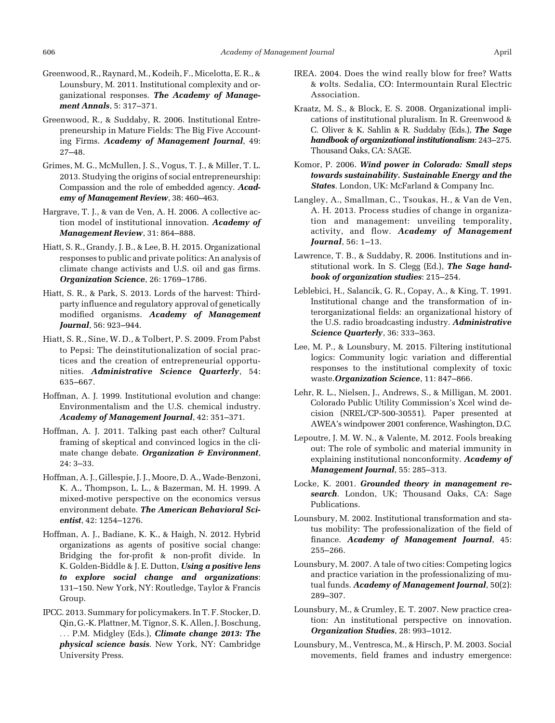- <span id="page-27-0"></span>Greenwood, R., Raynard, M., Kodeih, F., Micelotta, E. R., & Lounsbury, M. 2011. Institutional complexity and organizational responses. The Academy of Management Annals, 5: 317–371.
- Greenwood, R., & Suddaby, R. 2006. Institutional Entrepreneurship in Mature Fields: The Big Five Accounting Firms. Academy of Management Journal, 49: 27–48.
- Grimes, M. G., McMullen, J. S., Vogus, T. J., & Miller, T. L. 2013. Studying the origins of social entrepreneurship: Compassion and the role of embedded agency. Academy of Management Review, 38: 460–463.
- Hargrave, T. J., & van de Ven, A. H. 2006. A collective action model of institutional innovation. Academy of Management Review, 31: 864–888.
- Hiatt, S. R., Grandy, J. B., & Lee, B. H. 2015. Organizational responses to public and private politics: An analysis of climate change activists and U.S. oil and gas firms. Organization Science, 26: 1769–1786.
- Hiatt, S. R., & Park, S. 2013. Lords of the harvest: Thirdparty influence and regulatory approval of genetically modified organisms. Academy of Management Journal, 56: 923–944.
- Hiatt, S. R., Sine, W. D., & Tolbert, P. S. 2009. From Pabst to Pepsi: The deinstitutionalization of social practices and the creation of entrepreneurial opportunities. Administrative Science Quarterly, 54: 635–667.
- Hoffman, A. J. 1999. Institutional evolution and change: Environmentalism and the U.S. chemical industry. Academy of Management Journal, 42: 351–371.
- Hoffman, A. J. 2011. Talking past each other? Cultural framing of skeptical and convinced logics in the climate change debate. Organization  $\mathcal E$  Environment, 24: 3–33.
- Hoffman, A. J., Gillespie, J. J., Moore, D. A., Wade-Benzoni, K. A., Thompson, L. L., & Bazerman, M. H. 1999. A mixed-motive perspective on the economics versus environment debate. The American Behavioral Scientist, 42: 1254–1276.
- Hoffman, A. J., Badiane, K. K., & Haigh, N. 2012. Hybrid organizations as agents of positive social change: Bridging the for-profit & non-profit divide. In K. Golden-Biddle & J. E. Dutton, Using a positive lens to explore social change and organizations: 131–150. New York, NY: Routledge, Taylor & Francis Group.
- IPCC. 2013. Summary for policymakers. In T. F. Stocker, D. Qin, G.-K. Plattner, M. Tignor, S. K. Allen, J. Boschung, ... P.M. Midgley (Eds.), Climate change 2013: The physical science basis. New York, NY: Cambridge University Press.
- IREA. 2004. Does the wind really blow for free? Watts & volts. Sedalia, CO: Intermountain Rural Electric Association.
- Kraatz, M. S., & Block, E. S. 2008. Organizational implications of institutional pluralism. In R. Greenwood & C. Oliver & K. Sahlin & R. Suddaby (Eds.), The Sage handbook of organizational institutionalism: 243–275. Thousand Oaks, CA: SAGE.
- Komor, P. 2006. Wind power in Colorado: Small steps towards sustainability. Sustainable Energy and the States. London, UK: McFarland & Company Inc.
- Langley, A., Smallman, C., Tsoukas, H., & Van de Ven, A. H. 2013. Process studies of change in organization and management: unveiling temporality, activity, and flow. Academy of Management Journal, 56: 1–13.
- Lawrence, T. B., & Suddaby, R. 2006. Institutions and institutional work. In S. Clegg (Ed.), The Sage handbook of organization studies: 215–254.
- Leblebici, H., Salancik, G. R., Copay, A., & King, T. 1991. Institutional change and the transformation of interorganizational fields: an organizational history of the U.S. radio broadcasting industry. Administrative Science Quarterly, 36: 333–363.
- Lee, M. P., & Lounsbury, M. 2015. Filtering institutional logics: Community logic variation and differential responses to the institutional complexity of toxic waste.Organization Science, 11: 847–866.
- Lehr, R. L., Nielsen, J., Andrews, S., & Milligan, M. 2001. Colorado Public Utility Commission's Xcel wind decision (NREL/CP-500-30551). Paper presented at AWEA's windpower 2001 conference, Washington, D.C.
- Lepoutre, J. M. W. N., & Valente, M. 2012. Fools breaking out: The role of symbolic and material immunity in explaining institutional nonconformity. Academy of Management Journal, 55: 285–313.
- Locke, K. 2001. Grounded theory in management research. London, UK; Thousand Oaks, CA: Sage Publications.
- Lounsbury, M. 2002. Institutional transformation and status mobility: The professionalization of the field of finance. Academy of Management Journal, 45: 255–266.
- Lounsbury, M. 2007. A tale of two cities: Competing logics and practice variation in the professionalizing of mutual funds. Academy of Management Journal, 50(2): 289–307.
- Lounsbury, M., & Crumley, E. T. 2007. New practice creation: An institutional perspective on innovation. Organization Studies, 28: 993–1012.
- Lounsbury, M., Ventresca, M., & Hirsch, P. M. 2003. Social movements, field frames and industry emergence: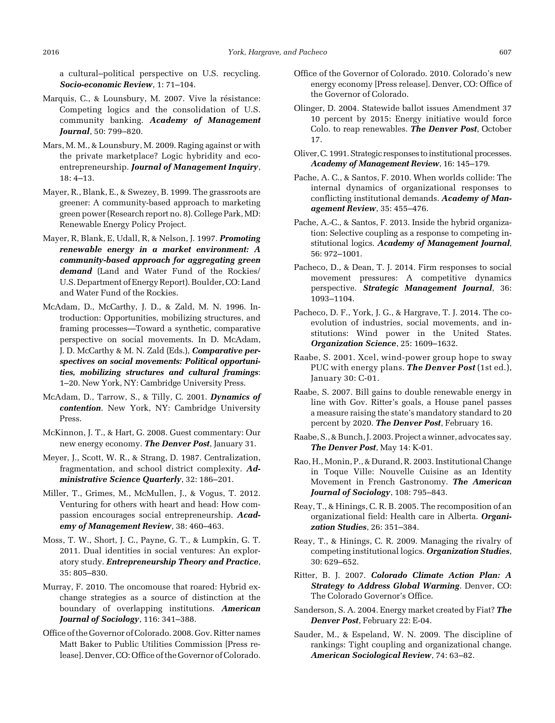<span id="page-28-0"></span>a cultural–political perspective on U.S. recycling. Socio-economic Review, 1: 71–104.

- Marquis, C., & Lounsbury, M. 2007. Vive la résistance: Competing logics and the consolidation of U.S. community banking. Academy of Management Journal, 50: 799–820.
- Mars, M. M., & Lounsbury, M. 2009. Raging against or with the private marketplace? Logic hybridity and ecoentrepreneurship. Journal of Management Inquiry, 18: 4–13.
- Mayer, R., Blank, E., & Swezey, B. 1999. The grassroots are greener: A community-based approach to marketing green power (Research report no. 8). College Park, MD: Renewable Energy Policy Project.
- Mayer, R, Blank, E, Udall, R, & Nelson, J. 1997. Promoting renewable energy in a market environment: A community-based approach for aggregating green demand (Land and Water Fund of the Rockies/ U.S. Department of Energy Report). Boulder, CO: Land and Water Fund of the Rockies.
- McAdam, D., McCarthy, J. D., & Zald, M. N. 1996. Introduction: Opportunities, mobilizing structures, and framing processes—Toward a synthetic, comparative perspective on social movements. In D. McAdam, J. D. McCarthy & M. N. Zald (Eds.), Comparative perspectives on social movements: Political opportunities, mobilizing structures and cultural framings: 1–20. New York, NY: Cambridge University Press.
- McAdam, D., Tarrow, S., & Tilly, C. 2001. Dynamics of contention. New York, NY: Cambridge University Press.
- McKinnon, J. T., & Hart, G. 2008. Guest commentary: Our new energy economy. The Denver Post, January 31.
- Meyer, J., Scott, W. R., & Strang, D. 1987. Centralization, fragmentation, and school district complexity. Administrative Science Quarterly, 32: 186–201.
- Miller, T., Grimes, M., McMullen, J., & Vogus, T. 2012. Venturing for others with heart and head: How compassion encourages social entrepreneurship. Academy of Management Review, 38: 460–463.
- Moss, T. W., Short, J. C., Payne, G. T., & Lumpkin, G. T. 2011. Dual identities in social ventures: An exploratory study. Entrepreneurship Theory and Practice, 35: 805–830.
- Murray, F. 2010. The oncomouse that roared: Hybrid exchange strategies as a source of distinction at the boundary of overlapping institutions. American Journal of Sociology, 116: 341–388.
- Office of the Governor of Colorado. 2008. Gov. Ritter names Matt Baker to Public Utilities Commission [Press release]. Denver, CO: Office of the Governor of Colorado.
- Office of the Governor of Colorado. 2010. Colorado's new energy economy [Press release]. Denver, CO: Office of the Governor of Colorado.
- Olinger, D. 2004. Statewide ballot issues Amendment 37 10 percent by 2015: Energy initiative would force Colo. to reap renewables. The Denver Post, October 17.
- Oliver, C. 1991. Strategic responses to institutional processes. Academy of Management Review, 16: 145–179.
- Pache, A. C., & Santos, F. 2010. When worlds collide: The internal dynamics of organizational responses to conflicting institutional demands. Academy of Management Review, 35: 455–476.
- Pache, A.-C., & Santos, F. 2013. Inside the hybrid organization: Selective coupling as a response to competing institutional logics. Academy of Management Journal, 56: 972–1001.
- Pacheco, D., & Dean, T. J. 2014. Firm responses to social movement pressures: A competitive dynamics perspective. Strategic Management Journal, 36: 1093–1104.
- Pacheco, D. F., York, J. G., & Hargrave, T. J. 2014. The coevolution of industries, social movements, and institutions: Wind power in the United States. Organization Science, 25: 1609–1632.
- Raabe, S. 2001. Xcel, wind-power group hope to sway PUC with energy plans. The Denver Post (1st ed.), January 30: C-01.
- Raabe, S. 2007. Bill gains to double renewable energy in line with Gov. Ritter's goals, a House panel passes a measure raising the state's mandatory standard to 20 percent by 2020. The Denver Post, February 16.
- Raabe, S., & Bunch, J. 2003. Project a winner, advocates say. The Denver Post, May 14: K-01.
- Rao, H., Monin, P., & Durand, R. 2003. Institutional Change in Toque Ville: Nouvelle Cuisine as an Identity Movement in French Gastronomy. The American Journal of Sociology, 108: 795–843.
- Reay, T., & Hinings, C. R. B. 2005. The recomposition of an organizational field: Health care in Alberta. Organization Studies, 26: 351–384.
- Reay, T., & Hinings, C. R. 2009. Managing the rivalry of competing institutional logics. Organization Studies, 30: 629–652.
- Ritter, B. J. 2007. Colorado Climate Action Plan: A Strategy to Address Global Warming. Denver, CO: The Colorado Governor's Office.
- Sanderson, S. A. 2004. Energy market created by Fiat? The Denver Post, February 22: E-04.
- Sauder, M., & Espeland, W. N. 2009. The discipline of rankings: Tight coupling and organizational change. American Sociological Review, 74: 63–82.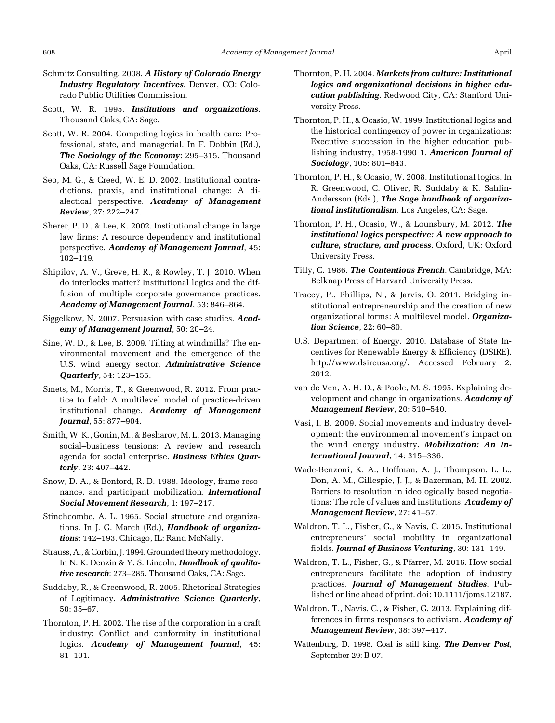- <span id="page-29-0"></span>Schmitz Consulting. 2008. A History of Colorado Energy Industry Regulatory Incentives. Denver, CO: Colorado Public Utilities Commission.
- Scott, W. R. 1995. Institutions and organizations. Thousand Oaks, CA: Sage.
- Scott, W. R. 2004. Competing logics in health care: Professional, state, and managerial. In F. Dobbin (Ed.), The Sociology of the Economy: 295–315. Thousand Oaks, CA: Russell Sage Foundation.
- Seo, M. G., & Creed, W. E. D. 2002. Institutional contradictions, praxis, and institutional change: A dialectical perspective. Academy of Management Review, 27: 222–247.
- Sherer, P. D., & Lee, K. 2002. Institutional change in large law firms: A resource dependency and institutional perspective. Academy of Management Journal, 45: 102–119.
- Shipilov, A. V., Greve, H. R., & Rowley, T. J. 2010. When do interlocks matter? Institutional logics and the diffusion of multiple corporate governance practices. Academy of Management Journal, 53: 846–864.
- Siggelkow, N. 2007. Persuasion with case studies. Academy of Management Journal, 50: 20–24.
- Sine, W. D., & Lee, B. 2009. Tilting at windmills? The environmental movement and the emergence of the U.S. wind energy sector. Administrative Science Quarterly, 54: 123–155.
- Smets, M., Morris, T., & Greenwood, R. 2012. From practice to field: A multilevel model of practice-driven institutional change. Academy of Management Journal, 55: 877–904.
- Smith, W. K., Gonin, M., & Besharov, M. L. 2013. Managing social–business tensions: A review and research agenda for social enterprise. Business Ethics Quarterly, 23: 407–442.
- Snow, D. A., & Benford, R. D. 1988. Ideology, frame resonance, and participant mobilization. International Social Movement Research, 1: 197–217.
- Stinchcombe, A. L. 1965. Social structure and organizations. In J. G. March (Ed.), Handbook of organizations: 142-193. Chicago, IL: Rand McNally.
- Strauss, A., & Corbin, J. 1994. Grounded theory methodology. In N. K. Denzin & Y. S. Lincoln, *Handbook of qualita*tive research: 273–285. Thousand Oaks, CA: Sage.
- Suddaby, R., & Greenwood, R. 2005. Rhetorical Strategies of Legitimacy. Administrative Science Quarterly, 50: 35–67.
- Thornton, P. H. 2002. The rise of the corporation in a craft industry: Conflict and conformity in institutional logics. Academy of Management Journal, 45: 81–101.
- Thornton, P. H. 2004. Markets from culture: Institutional logics and organizational decisions in higher education publishing. Redwood City, CA: Stanford University Press.
- Thornton, P. H., & Ocasio, W. 1999. Institutional logics and the historical contingency of power in organizations: Executive succession in the higher education publishing industry, 1958-1990 1. American Journal of Sociology, 105: 801–843.
- Thornton, P. H., & Ocasio, W. 2008. Institutional logics. In R. Greenwood, C. Oliver, R. Suddaby & K. Sahlin-Andersson (Eds.), The Sage handbook of organizational institutionalism. Los Angeles, CA: Sage.
- Thornton, P. H., Ocasio, W., & Lounsbury, M. 2012. The institutional logics perspective: A new approach to culture, structure, and process. Oxford, UK: Oxford University Press.
- Tilly, C. 1986. The Contentious French. Cambridge, MA: Belknap Press of Harvard University Press.
- Tracey, P., Phillips, N., & Jarvis, O. 2011. Bridging institutional entrepreneurship and the creation of new organizational forms: A multilevel model. Organization Science, 22: 60–80.
- U.S. Department of Energy. 2010. Database of State Incentives for Renewable Energy & Efficiency (DSIRE). <http://www.dsireusa.org/>. Accessed February 2, 2012.
- van de Ven, A. H. D., & Poole, M. S. 1995. Explaining development and change in organizations. Academy of Management Review, 20: 510–540.
- Vasi, I. B. 2009. Social movements and industry development: the environmental movement's impact on the wind energy industry. Mobilization: An International Journal, 14: 315–336.
- Wade-Benzoni, K. A., Hoffman, A. J., Thompson, L. L., Don, A. M., Gillespie, J. J., & Bazerman, M. H. 2002. Barriers to resolution in ideologically based negotiations: The role of values and institutions. Academy of Management Review, 27: 41–57.
- Waldron, T. L., Fisher, G., & Navis, C. 2015. Institutional entrepreneurs' social mobility in organizational fields. Journal of Business Venturing, 30: 131–149.
- Waldron, T. L., Fisher, G., & Pfarrer, M. 2016. How social entrepreneurs facilitate the adoption of industry practices. Journal of Management Studies. Published online ahead of print. doi: 10.1111/joms.12187.
- Waldron, T., Navis, C., & Fisher, G. 2013. Explaining differences in firms responses to activism. Academy of Management Review, 38: 397–417.
- Wattenburg, D. 1998. Coal is still king. The Denver Post, September 29: B-07.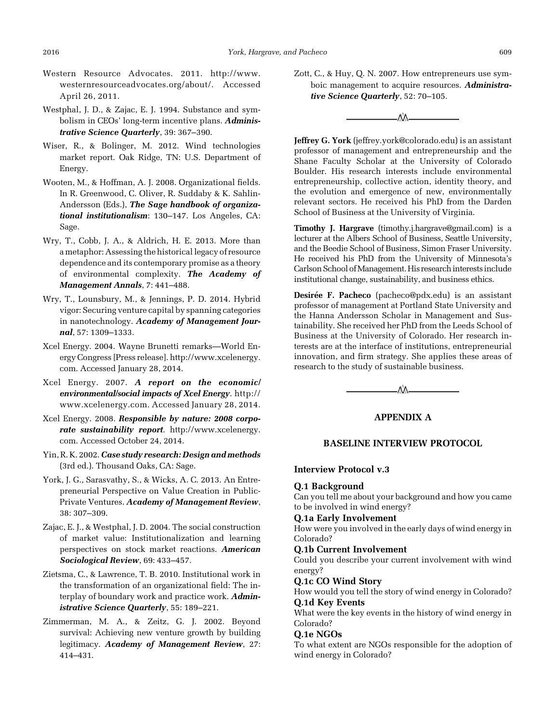- <span id="page-30-0"></span>Western Resource Advocates. 2011. [http://www.](http://www.westernresourceadvocates.org/about/) [westernresourceadvocates.org/about/](http://www.westernresourceadvocates.org/about/). Accessed April 26, 2011.
- Westphal, J. D., & Zajac, E. J. 1994. Substance and symbolism in CEOs' long-term incentive plans. Administrative Science Quarterly, 39: 367–390.
- Wiser, R., & Bolinger, M. 2012. Wind technologies market report. Oak Ridge, TN: U.S. Department of Energy.
- Wooten, M., & Hoffman, A. J. 2008. Organizational fields. In R. Greenwood, C. Oliver, R. Suddaby & K. Sahlin-Andersson (Eds.), The Sage handbook of organizational institutionalism: 130–147. Los Angeles, CA: Sage.
- Wry, T., Cobb, J. A., & Aldrich, H. E. 2013. More than a metaphor: Assessing the historical legacy of resource dependence and its contemporary promise as a theory of environmental complexity. The Academy of Management Annals, 7: 441–488.
- Wry, T., Lounsbury, M., & Jennings, P. D. 2014. Hybrid vigor: Securing venture capital by spanning categories in nanotechnology. Academy of Management Journal, 57: 1309-1333.
- Xcel Energy. 2004. Wayne Brunetti remarks—World Energy Congress [Press release]. [http://www.xcelenergy.](http://www.xcelenergy.com) [com](http://www.xcelenergy.com). Accessed January 28, 2014.
- Xcel Energy. 2007. A report on the economic/ environmental/social impacts of Xcel Energy. [http://](http://www.xcelenergy.com) [www.xcelenergy.com.](http://www.xcelenergy.com) Accessed January 28, 2014.
- Xcel Energy. 2008. Responsible by nature: 2008 corporate sustainability report. [http://www.xcelenergy.](http://www.xcelenergy.com) [com](http://www.xcelenergy.com). Accessed October 24, 2014.
- Yin, R. K. 2002. Case study research: Design and methods (3rd ed.). Thousand Oaks, CA: Sage.
- York, J. G., Sarasvathy, S., & Wicks, A. C. 2013. An Entrepreneurial Perspective on Value Creation in Public-Private Ventures. Academy of Management Review, 38: 307–309.
- Zajac, E. J., & Westphal, J. D. 2004. The social construction of market value: Institutionalization and learning perspectives on stock market reactions. American Sociological Review, 69: 433–457.
- Zietsma, C., & Lawrence, T. B. 2010. Institutional work in the transformation of an organizational field: The interplay of boundary work and practice work. Administrative Science Quarterly, 55: 189–221.
- Zimmerman, M. A., & Zeitz, G. J. 2002. Beyond survival: Achieving new venture growth by building legitimacy. Academy of Management Review, 27: 414–431.

Zott, C., & Huy, Q. N. 2007. How entrepreneurs use symboic management to acquire resources. Administrative Science Quarterly, 52: 70–105.



Jeffrey G. York [\(jeffrey.york@colorado.edu](mailto:jeffrey.york@colorado.edu)) is an assistant professor of management and entrepreneurship and the Shane Faculty Scholar at the University of Colorado Boulder. His research interests include environmental entrepreneurship, collective action, identity theory, and the evolution and emergence of new, environmentally relevant sectors. He received his PhD from the Darden School of Business at the University of Virginia.

Timothy J. Hargrave ([timothy.j.hargrave@gmail.com\)](mailto:timothy.j.hargrave@gmail.com) is a lecturer at the Albers School of Business, Seattle University, and the Beedie School of Business, Simon Fraser University. He received his PhD from the University of Minnesota's Carlson School of Management. His research interests include institutional change, sustainability, and business ethics.

Desirée F. Pacheco [\(pacheco@pdx.edu\)](mailto:pacheco@pdx.edu) is an assistant professor of management at Portland State University and the Hanna Andersson Scholar in Management and Sustainability. She received her PhD from the Leeds School of Business at the University of Colorado. Her research interests are at the interface of institutions, entrepreneurial innovation, and firm strategy. She applies these areas of research to the study of sustainable business.



# APPENDIX A

# BASELINE INTERVIEW PROTOCOL

# Interview Protocol v.3

### Q.1 Background

Can you tell me about your background and how you came to be involved in wind energy?

#### Q.1a Early Involvement

How were you involved in the early days of wind energy in Colorado?

### Q.1b Current Involvement

Could you describe your current involvement with wind energy?

### Q.1c CO Wind Story

How would you tell the story of wind energy in Colorado? Q.1d Key Events

What were the key events in the history of wind energy in Colorado?

### Q.1e NGOs

To what extent are NGOs responsible for the adoption of wind energy in Colorado?